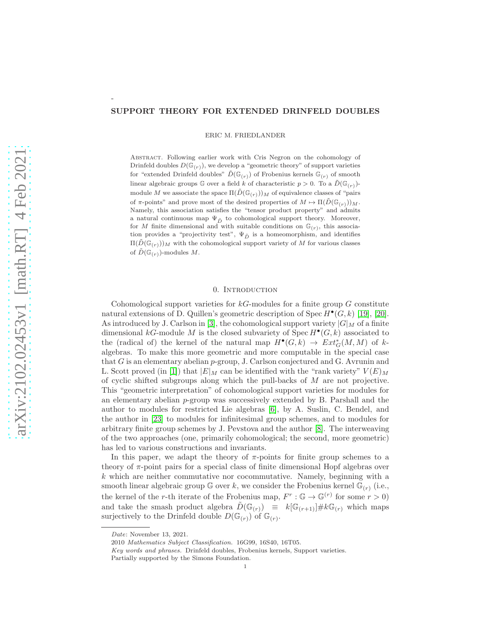### SUPPORT THEORY FOR EXTENDED DRINFELD DOUBLES

ERIC M. FRIEDLANDER

Abstract. Following earlier work with Cris Negron on the cohomology of Drinfeld doubles  $D(\mathbb{G}_{(r)})$ , we develop a "geometric theory" of support varieties for "extended Drinfeld doubles"  $\tilde{D}(\mathbb{G}_{(r)})$  of Frobenius kernels  $\mathbb{G}_{(r)}$  of smooth linear algebraic groups  $\mathbb G$  over a field k of characteristic  $p > 0$ . To a  $\tilde{D}(\mathbb G_{(r)})$ module M we associate the space  $\Pi(\tilde{D}(\mathbb{G}_{(r)}))_M$  of equivalence classes of "pairs" of  $\pi$ -points" and prove most of the desired properties of  $M \mapsto \Pi(\tilde{D}(\mathbb{G}_{(r)}))_M$ . Namely, this association satisfies the "tensor product property" and admits a natural continuous map  $\Psi_{\tilde{D}}$  to cohomological support theory. Moreover, for M finite dimensional and with suitable conditions on  $\mathbb{G}(r)$ , this association provides a "projectivity test",  $\Psi_{\tilde{D}}$  is a homeomorphism, and identifies  $\Pi(\tilde{D}(\mathbb{G}_{(r)}))_M$  with the cohomological support variety of M for various classes of  $\tilde{D}(\mathbb{G}_{(r)})$ -modules M.

## 0. INTRODUCTION

Cohomological support varieties for  $k$ G-modules for a finite group  $G$  constitute natural extensions of D. Quillen's geometric description of  $Spec H^{\bullet}(G, k)$  [\[19\]](#page-24-0), [\[20\]](#page-24-1). As introduced by J. Carlson in [\[3\]](#page-23-0), the cohomological support variety  $|G|_M$  of a finite dimensional kG-module M is the closed subvariety of  $Spec H^{\bullet}(G, k)$  associated to the (radical of) the kernel of the natural map  $H^{\bullet}(G,k) \to Ext^*_{G}(M,M)$  of kalgebras. To make this more geometric and more computable in the special case that G is an elementary abelian  $p$ -group, J. Carlson conjectured and G. Avrunin and L. Scott proved (in [\[1\]](#page-23-1)) that  $|E|_M$  can be identified with the "rank variety"  $V(E)_M$ of cyclic shifted subgroups along which the pull-backs of  $M$  are not projective. This "geometric interpretation" of cohomological support varieties for modules for an elementary abelian p-group was successively extended by B. Parshall and the author to modules for restricted Lie algebras [\[6\]](#page-24-2), by A. Suslin, C. Bendel, and the author in [\[23\]](#page-24-3) to modules for infinitesimal group schemes, and to modules for arbitrary finite group schemes by J. Pevstova and the author [\[8\]](#page-24-4). The interweaving of the two approaches (one, primarily cohomological; the second, more geometric) has led to various constructions and invariants.

In this paper, we adapt the theory of  $\pi$ -points for finite group schemes to a theory of  $\pi$ -point pairs for a special class of finite dimensional Hopf algebras over  $k$  which are neither commutative nor cocommutative. Namely, beginning with a smooth linear algebraic group  $\mathbb G$  over k, we consider the Frobenius kernel  $\mathbb G_{(r)}$  (i.e., the kernel of the r-th iterate of the Frobenius map,  $F^r : \mathbb{G} \to \mathbb{G}^{(r)}$  for some  $r > 0$ ) and take the smash product algebra  $\tilde{D}(\mathbb{G}_{(r)}) \equiv k[\mathbb{G}_{(r+1)}] \# k \mathbb{G}_{(r)}$  which maps surjectively to the Drinfeld double  $D(\mathbb{G}_{(r)})$  of  $\mathbb{G}_{(r)}$ .

-

*Date*: November 13, 2021.

<sup>2010</sup> *Mathematics Subject Classification.* 16G99, 16S40, 16T05.

*Key words and phrases.* Drinfeld doubles, Frobenius kernels, Support varieties.

Partially supported by the Simons Foundation.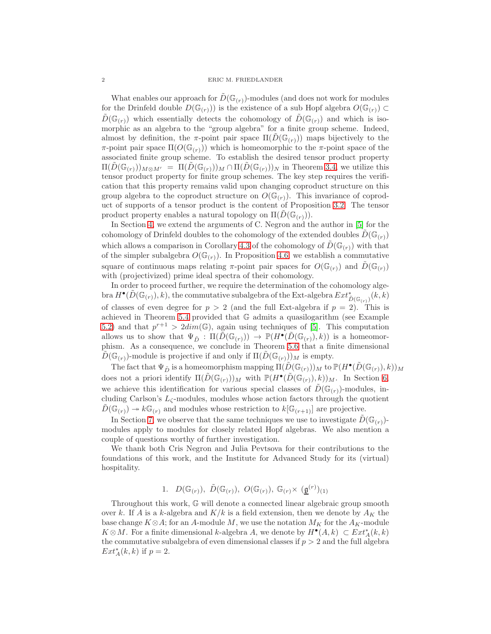What enables our approach for  $D(\mathbb{G}_{(r)})$ -modules (and does not work for modules for the Drinfeld double  $D(\mathbb{G}_{(r)})$  is the existence of a sub Hopf algebra  $O(\mathbb{G}_{(r)}) \subset$  $D(\mathbb{G}_{(r)})$  which essentially detects the cohomology of  $D(\mathbb{G}_{(r)})$  and which is isomorphic as an algebra to the "group algebra" for a finite group scheme. Indeed, almost by definition, the π-point pair space  $\Pi(D(\mathbb{G}_{(r)}))$  maps bijectively to the  $\pi$ -point pair space  $\Pi(O(\mathbb{G}_{(r)}))$  which is homeomorphic to the π-point space of the associated finite group scheme. To establish the desired tensor product property  $\Pi(D(\mathbb{G}_{(r)}))_{M\otimes M'} = \Pi(D(\mathbb{G}_{(r)}))_M \cap \Pi(D(\mathbb{G}_{(r)}))_N$  in Theorem [3.4,](#page-10-0) we utilize this tensor product property for finite group schemes. The key step requires the verification that this property remains valid upon changing coproduct structure on this group algebra to the coproduct structure on  $O(\mathbb{G}_{(r)})$ . This invariance of coproduct of supports of a tensor product is the content of Proposition [3.2.](#page-9-0) The tensor product property enables a natural topology on  $\Pi(D(\mathbb{G}_{(r)})).$ 

In Section [4,](#page-11-0) we extend the arguments of C. Negron and the author in [\[5\]](#page-24-5) for the cohomology of Drinfeld doubles to the cohomology of the extended doubles  $\tilde{D}(\mathbb{G}_{(r)})$ which allows a comparison in Corollary [4.3](#page-13-0) of the cohomology of  $\tilde{D}(\mathbb{G}_{(r)})$  with that of the simpler subalgebra  $O(\mathbb{G}_{(r)})$ . In Proposition [4.6,](#page-14-0) we establish a commutative square of continuous maps relating  $\pi$ -point pair spaces for  $O(\mathbb{G}_{(r)})$  and  $D(\mathbb{G}_{(r)})$ with (projectivized) prime ideal spectra of their cohomology.

In order to proceed further, we require the determination of the cohomology alge- $\mathrm{bra}\, H^\bullet(\tilde D(\mathbb G_{(r)}),k),$  the commutative subalgebra of the Ext-algebra  $Ext^*_{\tilde D(\mathbb G_{(r)})}(k,k)$ of classes of even degree for  $p > 2$  (and the full Ext-algebra if  $p = 2$ ). This is achieved in Theorem [5.4](#page-16-0) provided that G admits a quasilogarithm (see Example [5.2\)](#page-15-0) and that  $p^{r+1} > 2dim(\mathbb{G})$ , again using techniques of [\[5\]](#page-24-5). This computation allows us to show that  $\Psi_{\tilde{D}} : \Pi(\tilde{D}(\mathbb{G}_{(r)})) \to \mathbb{P}(H^{\bullet}(\tilde{D}(\mathbb{G}_{(r)}), k))$  is a homeomorphism. As a consequence, we conclude in Theorem [5.6](#page-17-0) that a finite dimensional  $D(\mathbb{G}_{(r)})$ -module is projective if and only if  $\Pi(D(\mathbb{G}_{(r)}))_M$  is empty.

The fact that  $\Psi_{\tilde{D}}$  is a homeomorphism mapping  $\Pi(\tilde{D}(\mathbb{G}_{(r)}))_M$  to  $\mathbb{P}(H^{\bullet}(\tilde{D}(\mathbb{G}_{(r)}), k))_M$ does not a priori identify  $\Pi(\tilde{D}(\mathbb{G}_{(r)}))_M$  with  $\mathbb{P}(H^{\bullet}(\tilde{D}(\mathbb{G}_{(r)}), k))_M$ . In Section [6,](#page-17-1) we achieve this identification for various special classes of  $\hat{D}(\mathbb{G}_{(r)})$ -modules, including Carlson's  $L_{\zeta}$ -modules, modules whose action factors through the quotient  $D(\mathbb{G}_{(r)}) \to k\mathbb{G}_{(r)}$  and modules whose restriction to  $k[\mathbb{G}_{(r+1)}]$  are projective.

In Section [7,](#page-21-0) we observe that the same techniques we use to investigate  $D(\mathbb{G}_{(r)})$ modules apply to modules for closely related Hopf algebras. We also mention a couple of questions worthy of further investigation.

We thank both Cris Negron and Julia Pevtsova for their contributions to the foundations of this work, and the Institute for Advanced Study for its (virtual) hospitality.

1.  $D(\mathbb{G}_{(r)}), \tilde{D}(\mathbb{G}_{(r)}), O(\mathbb{G}_{(r)}), \mathbb{G}_{(r)} \times (\underline{\mathfrak{g}}^{(r)})_{(1)}$ 

Throughout this work, G will denote a connected linear algebraic group smooth over k. If A is a k-algebra and  $K/k$  is a field extension, then we denote by  $A_K$  the base change  $K \otimes A$ ; for an A-module M, we use the notation  $M_K$  for the  $A_K$ -module  $K \otimes M$ . For a finite dimensional k-algebra A, we denote by  $H^{\bullet}(A, k) \subset Ext^*_A(k, k)$ the commutative subalgebra of even dimensional classes if  $p > 2$  and the full algebra  $Ext^*_{A}(k, k)$  if  $p = 2$ .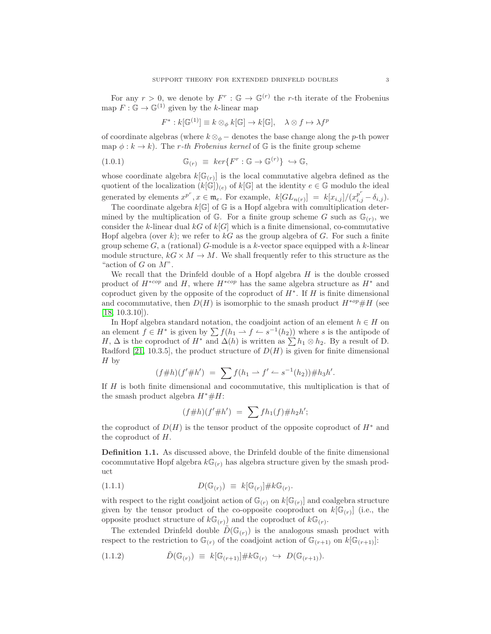For any  $r > 0$ , we denote by  $F^r : \mathbb{G} \to \mathbb{G}^{(r)}$  the r-th iterate of the Frobenius map  $F: \mathbb{G} \to \mathbb{G}^{(1)}$  given by the k-linear map

$$
F^*: k[\mathbb{G}^{(1)}] \equiv k \otimes_{\phi} k[\mathbb{G}] \to k[\mathbb{G}], \quad \lambda \otimes f \mapsto \lambda f^p
$$

of coordinate algebras (where  $k \otimes_{\phi}$  – denotes the base change along the p-th power map  $\phi : k \to k$ ). The *r*-th Frobenius kernel of G is the finite group scheme

(1.0.1) 
$$
\mathbb{G}_{(r)} \equiv \ker \{ F^r : \mathbb{G} \to \mathbb{G}^{(r)} \} \hookrightarrow \mathbb{G},
$$

whose coordinate algebra  $k[\mathbb{G}_{(r)}]$  is the local commutative algebra defined as the quotient of the localization  $(k[\mathbb{G}])_{(e)}$  of  $k[\mathbb{G}]$  at the identity  $e \in \mathbb{G}$  modulo the ideal generated by elements  $x^{p^r}, x \in \mathfrak{m}_e$ . For example,  $k[GL_{n(r)}] = k[x_{i,j}]/(x_{i,j}^{p^r} - \delta_{i,j}).$ 

The coordinate algebra  $k[\mathbb{G}]$  of  $\mathbb G$  is a Hopf algebra with comultiplication determined by the multiplication of  $\mathbb{G}$ . For a finite group scheme G such as  $\mathbb{G}_{(r)}$ , we consider the k-linear dual kG of  $k[G]$  which is a finite dimensional, co-commutative Hopf algebra (over k); we refer to  $kG$  as the group algebra of G. For such a finite group scheme  $G$ , a (rational) G-module is a k-vector space equipped with a k-linear module structure,  $k \in \times M \to M$ . We shall frequently refer to this structure as the "action of  $G$  on  $M$ ".

We recall that the Drinfeld double of a Hopf algebra  $H$  is the double crossed product of  $H^{*cop}$  and H, where  $H^{*cop}$  has the same algebra structure as  $H^*$  and coproduct given by the opposite of the coproduct of  $H^*$ . If H is finite dimensional and cocommutative, then  $D(H)$  is isomorphic to the smash product  $H^{*op} \# H$  (see  $[18, 10.3.10]$  $[18, 10.3.10]$ .

In Hopf algebra standard notation, the coadjoint action of an element  $h \in H$  on an element  $f \in H^*$  is given by  $\sum f(h_1 \to f \to s^{-1}(h_2))$  where s is the antipode of H,  $\Delta$  is the coproduct of H<sup>\*</sup> and  $\Delta(h)$  is written as  $\sum h_1 \otimes h_2$ . By a result of D. Radford [\[21,](#page-24-7) 10.3.5], the product structure of  $D(H)$  is given for finite dimensional H by

$$
(f\#h)(f'\#h') = \sum f(h_1 \to f' \leftharpoonup s^{-1}(h_2)) \#h_3h'.
$$

If H is both finite dimensional and cocommutative, this multiplication is that of the smash product algebra  $H^* \# H$ :

$$
(f\#h)(f'\#h') = \sum fh_1(f)\#h_2h';
$$

the coproduct of  $D(H)$  is the tensor product of the opposite coproduct of  $H^*$  and the coproduct of H.

Definition 1.1. As discussed above, the Drinfeld double of the finite dimensional cocommutative Hopf algebra  $k\mathbb{G}_{(r)}$  has algebra structure given by the smash product

$$
(1.1.1) \tD(\mathbb{G}_{(r)}) \equiv k[\mathbb{G}_{(r)}] \# k \mathbb{G}_{(r)}.
$$

with respect to the right coadjoint action of  $\mathbb{G}_{(r)}$  on  $k[\mathbb{G}_{(r)}]$  and coalgebra structure given by the tensor product of the co-opposite cooproduct on  $k[\mathbb{G}_{(r)}]$  (i.e., the opposite product structure of  $k\mathbb{G}_{(r)}$  and the coproduct of  $k\mathbb{G}_{(r)}$ .

The extended Drinfeld double  $\hat{D}(\mathbb{G}_{(r)})$  is the analogous smash product with respect to the restriction to  $\mathbb{G}_{(r)}$  of the coadjoint action of  $\mathbb{G}_{(r+1)}$  on  $k[\mathbb{G}_{(r+1)}]$ :

<span id="page-2-0"></span>
$$
(1.1.2) \qquad \qquad \tilde{D}(\mathbb{G}_{(r)}) \equiv k[\mathbb{G}_{(r+1)}] \# k \mathbb{G}_{(r)} \hookrightarrow D(\mathbb{G}_{(r+1)}).
$$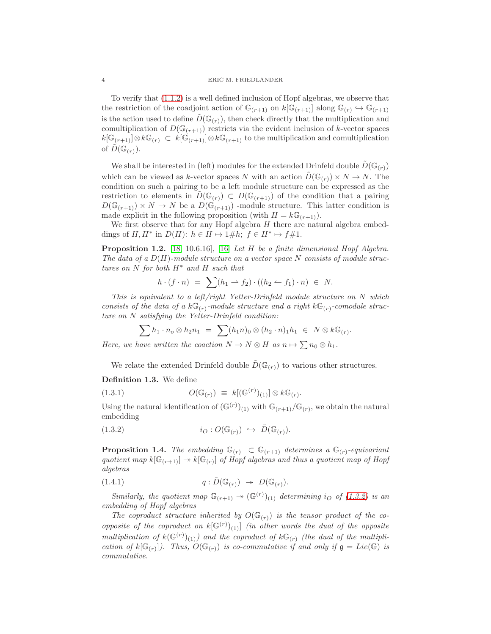To verify that [\(1.1.2\)](#page-2-0) is a well defined inclusion of Hopf algebras, we observe that the restriction of the coadjoint action of  $\mathbb{G}_{(r+1)}$  on  $k[\mathbb{G}_{(r+1)}]$  along  $\mathbb{G}_{(r)} \hookrightarrow \mathbb{G}_{(r+1)}$ is the action used to define  $\tilde{D}(\mathbb{G}_{(r)})$ , then check directly that the multiplication and comultiplication of  $D(\mathbb{G}_{(r+1)})$  restricts via the evident inclusion of k-vector spaces  $k[\mathbb{G}_{(r+1)}] \otimes k\mathbb{G}_{(r)} \subset k[\mathbb{G}_{(r+1)}] \otimes k\mathbb{G}_{(r+1)}$  to the multiplication and comultiplication of  $\tilde{D}(\mathbb{G}_{(r)}).$ 

We shall be interested in (left) modules for the extended Drinfeld double  $\hat{D}(\mathbb{G}_{(r)})$ which can be viewed as k-vector spaces N with an action  $\tilde{D}(\mathbb{G}_{(r)}) \times N \to N$ . The condition on such a pairing to be a left module structure can be expressed as the restriction to elements in  $D(\mathbb{G}_{(r)}) \subset D(\mathbb{G}_{(r+1)})$  of the condition that a pairing  $D(\mathbb{G}_{(r+1)}) \times N \to N$  be a  $D(\mathbb{G}_{(r+1)})$  -module structure. This latter condition is made explicit in the following proposition (with  $H = k\mathbb{G}_{(r+1)}$ ).

We first observe that for any Hopf algebra  $H$  there are natural algebra embeddings of  $H, H^*$  in  $D(H)$ :  $h \in H \mapsto 1 \# h$ ;  $f \in H^* \mapsto f \# 1$ .

Proposition 1.2. [\[18,](#page-24-6) 10.6.16]*,* [\[16\]](#page-24-8) *Let* H *be a finite dimensional Hopf Algebra. The data of a* D(H)*-module structure on a vector space* N *consists of module structures on* N *for both* H<sup>∗</sup> *and* H *such that*

$$
h \cdot (f \cdot n) = \sum (h_1 \rightarrow f_2) \cdot ((h_2 \leftarrow f_1) \cdot n) \in N.
$$

*This is equivalent to a left/right Yetter-Drinfeld module structure on* N *which* consists of the data of a  $k\mathbb{G}_{(r)}$ -module structure and a right  $k\mathbb{G}_{(r)}$ -comodule struc*ture on* N *satisfying the Yetter-Drinfeld condition:*

$$
\sum h_1 \cdot n_o \otimes h_2 n_1 = \sum (h_1 n)_0 \otimes (h_2 \cdot n)_1 h_1 \in N \otimes k \mathbb{G}_{(r)}.
$$

*Here, we have written the coaction*  $N \to N \otimes H$  *as*  $n \mapsto \sum n_0 \otimes h_1$ .

We relate the extended Drinfeld double  $\tilde{D}(\mathbb{G}_{(r)})$  to various other structures.

Definition 1.3. We define

(1.3.1) 
$$
O(\mathbb{G}_{(r)}) \equiv k[(\mathbb{G}^{(r)})_{(1)}] \otimes k \mathbb{G}_{(r)}.
$$

Using the natural identification of  $(\mathbb{G}^{(r)})_{(1)}$  with  $\mathbb{G}_{(r+1)}/\mathbb{G}_{(r)}$ , we obtain the natural embedding

<span id="page-3-0"></span>(1.3.2) 
$$
i_O: O(\mathbb{G}_{(r)}) \hookrightarrow \tilde{D}(\mathbb{G}_{(r)}).
$$

<span id="page-3-1"></span>**Proposition 1.4.** *The embedding*  $\mathbb{G}_{(r)} \subset \mathbb{G}_{(r+1)}$  *determines a*  $\mathbb{G}_{(r)}$ -equivariant quotient map  $k[\mathbb{G}_{(r+1)}] \to k[\mathbb{G}_{(r)}]$  of Hopf algebras and thus a quotient map of Hopf *algebras*

<span id="page-3-2"></span>(1.4.1) 
$$
q : \tilde{D}(\mathbb{G}_{(r)}) \rightarrow D(\mathbb{G}_{(r)}).
$$

*Similarly, the quotient map*  $\mathbb{G}_{(r+1)} \to (\mathbb{G}^{(r)})_{(1)}$  *determining* i<sub>O</sub> of [\(1.3.2\)](#page-3-0) is an *embedding of Hopf algebras*

The coproduct structure inherited by  $O(\mathbb{G}_{(r)})$  is the tensor product of the co*opposite of the coproduct on*  $k[\mathbb{G}^{(r)}]_{(1)}$  *(in other words the dual of the opposite* multiplication of  $k(\mathbb{G}^{(r)})_{(1)}$  and the coproduct of  $k\mathbb{G}_{(r)}$  (the dual of the multipli*cation of*  $k[\mathbb{G}_{(r)}]$ . Thus,  $O(\mathbb{G}_{(r)})$  *is co-commutative* if and only if  $\mathfrak{g} = Lie(\mathbb{G})$  *is commutative.*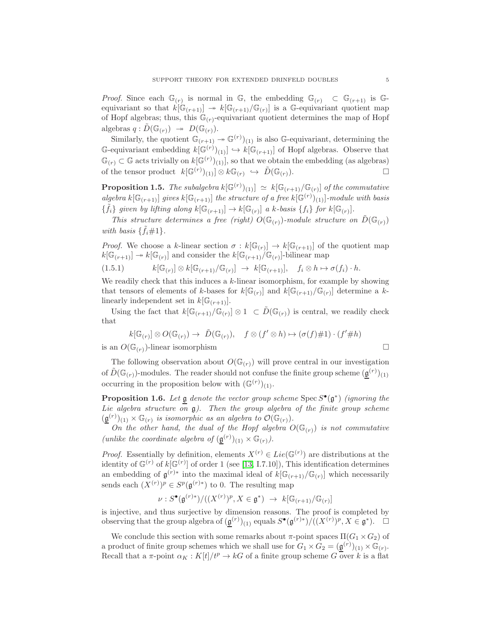*Proof.* Since each  $\mathbb{G}_{(r)}$  is normal in  $\mathbb{G}$ , the embedding  $\mathbb{G}_{(r)} \subset \mathbb{G}_{(r+1)}$  is  $\mathbb{G}$ equivariant so that  $k[\mathbb{G}_{(r+1)}] \to k[\mathbb{G}_{(r+1)}/\mathbb{G}_{(r)}]$  is a G-equivariant quotient map of Hopf algebras; thus, this  $\mathbb{G}_{(r)}$ -equivariant quotient determines the map of Hopf algebras  $q: D(\mathbb{G}_{(r)}) \rightarrow D(\mathbb{G}_{(r)})$ .

Similarly, the quotient  $\mathbb{G}_{(r+1)} \twoheadrightarrow \mathbb{G}^{(r)}(1)$  is also G-equivariant, determining the G-equivariant embedding  $k[\mathbb{G}^{(r)}]_{(1)}] \hookrightarrow k[\mathbb{G}_{(r+1)}]$  of Hopf algebras. Observe that  $\mathbb{G}_{(r)} \subset \mathbb{G}$  acts trivially on  $k[\mathbb{G}^{(r)})(1)]$ , so that we obtain the embedding (as algebras) of the tensor product  $k[\mathbb{G}^{(r)}]_{(1)}] \otimes k\mathbb{G}_{(r)} \hookrightarrow \tilde{D}(\mathbb{G}_{(r)})$ .

<span id="page-4-0"></span>**Proposition 1.5.** *The subalgebra*  $k[\mathbb{G}^{(r)})(1)] \simeq k[\mathbb{G}_{(r+1)}/\mathbb{G}_{(r)}]$  of the commutative *algebra*  $k[\mathbb{G}_{(r+1)}]$  *gives*  $k[\mathbb{G}_{(r+1)}]$  *the structure of a free*  $k[\mathbb{G}^{(r)})(1]$ *-module with basis*  $\{\tilde{f}_i\}$  given by lifting along  $k[\mathbb{G}_{(r+1)}] \to k[\mathbb{G}_{(r)}]$  a k-basis  $\{f_i\}$  for  $k[\mathbb{G}_{(r)}]$ .

*This structure determines a free (right)*  $O(\mathbb{G}_{(r)})$ *-module structure on*  $\tilde{D}(\mathbb{G}_{(r)})$ *with basis*  $\{\tilde{f}_i \# 1\}$ .

*Proof.* We choose a k-linear section  $\sigma : k[\mathbb{G}(r)] \to k[\mathbb{G}(r+1)]$  of the quotient map  $k[\mathbb{G}_{(r+1)}] \to k[\mathbb{G}_{(r)}]$  and consider the  $k[\mathbb{G}_{(r+1)}/\mathbb{G}_{(r)}]$ -bilinear map

<span id="page-4-2"></span>
$$
(1.5.1) \t k[\mathbb{G}_{(r)}] \otimes k[\mathbb{G}_{(r+1)}/\mathbb{G}_{(r)}] \rightarrow k[\mathbb{G}_{(r+1)}], \quad f_i \otimes h \mapsto \sigma(f_i) \cdot h.
$$

We readily check that this induces a  $k$ -linear isomorphism, for example by showing that tensors of elements of k-bases for  $k[\mathbb{G}(r)]$  and  $k[\mathbb{G}(r+1)/\mathbb{G}(r)]$  determine a klinearly independent set in  $k[\mathbb{G}_{(r+1)}].$ 

Using the fact that  $k[\mathbb{G}_{(r+1)}/\mathbb{G}_{(r)}] \otimes 1 \subset \tilde{D}(\mathbb{G}_{(r)})$  is central, we readily check that

$$
k[\mathbb{G}_{(r)}] \otimes O(\mathbb{G}_{(r)}) \to \tilde{D}(\mathbb{G}_{(r)}), \quad f \otimes (f' \otimes h) \mapsto (\sigma(f)\#1) \cdot (f'\#h)
$$
  
is an  $O(\mathbb{G}_{(r)})$ -linear isomorphism

The following observation about  $O(\mathbb{G}_{(r)})$  will prove central in our investigation of  $\tilde{D}(\mathbb{G}_{(r)})$ -modules. The reader should not confuse the finite group scheme  $(\underline{\mathfrak{g}}^{(r)})_{(1)}$ occurring in the proposition below with  $(\mathbb{G}^{(r)})_{(1)}$ .

<span id="page-4-1"></span>**Proposition 1.6.** Let  $\mathfrak g$  denote the vector group scheme  $\text{Spec } S^{\bullet}(\mathfrak g^*)$  (ignoring the *Lie algebra structure on* g*). Then the group algebra of the finite group scheme*  $(\underline{\mathfrak{g}}^{(r)})_{(1)} \times \mathbb{G}_{(r)}$  *is isomorphic as an algebra to*  $\mathcal{O}(\mathbb{G}_{(r)})$ *.* 

*On the other hand, the dual of the Hopf algebra*  $O(\mathbb{G}_{(r)})$  *is not commutative* (*unlike the coordinate algebra of*  $(\underline{\mathfrak{g}}^{(r)})_{(1)} \times \mathbb{G}_{(r)}$ *)*.

*Proof.* Essentially by definition, elements  $X^{(r)} \in Lie(\mathbb{G}^{(r)})$  are distributions at the identity of  $\mathbb{G}^{(r)}$  of  $k[\mathbb{G}^{(r)}]$  of order 1 (see [\[13,](#page-24-9) I.7.10]), This identification determines an embedding of  $\mathfrak{g}^{(r)*}$  into the maximal ideal of  $k[\mathbb{G}_{(r+1)}/\mathbb{G}_{(r)}]$  which necessarily sends each  $(X^{(r)})^p \in S^p(\mathfrak{g}^{(r)*})$  to 0. The resulting map

$$
\nu: S^{\bullet}(\mathfrak{g}^{(r)*})/((X^{(r)})^p, X \in \mathfrak{g}^*) \rightarrow k[\mathbb{G}_{(r+1)}/\mathbb{G}_{(r)}]
$$

is injective, and thus surjective by dimension reasons. The proof is completed by observing that the group algebra of  $(\underline{\mathfrak{g}}^{(r)})_{(1)}$  equals  $S^{\bullet}(\mathfrak{g}^{(r)*})/((X^{(r)})^p, X \in \mathfrak{g}^*). \square$ 

We conclude this section with some remarks about  $\pi$ -point spaces  $\Pi(G_1 \times G_2)$  of a product of finite group schemes which we shall use for  $G_1 \times G_2 = (\underline{\mathfrak{g}}^{(r)})_{(1)} \times \mathbb{G}_{(r)}$ . Recall that a  $\pi$ -point  $\alpha_K : K[t]/t^p \to kG$  of a finite group scheme G over k is a flat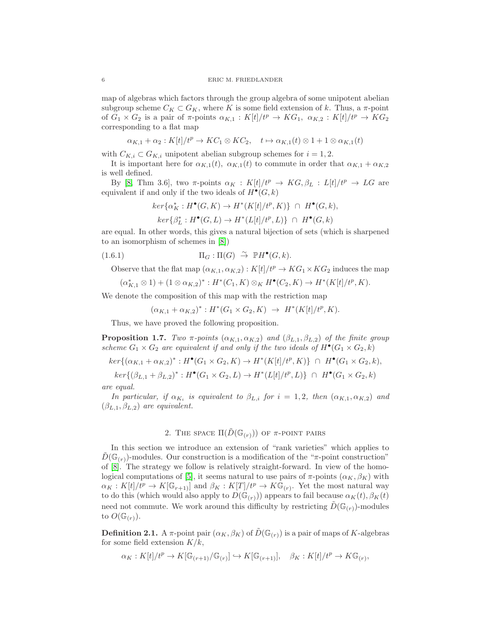map of algebras which factors through the group algebra of some unipotent abelian subgroup scheme  $C_K \subset G_K$ , where K is some field extension of k. Thus, a  $\pi$ -point of  $G_1 \times G_2$  is a pair of  $\pi$ -points  $\alpha_{K,1} : K[t]/t^p \to KG_1$ ,  $\alpha_{K,2} : K[t]/t^p \to KG_2$ corresponding to a flat map

$$
\alpha_{K,1} + \alpha_2 : K[t]/t^p \to KC_1 \otimes KC_2, \quad t \mapsto \alpha_{K,1}(t) \otimes 1 + 1 \otimes \alpha_{K,1}(t)
$$

with  $C_{K,i} \subset G_{K,i}$  unipotent abelian subgroup schemes for  $i = 1, 2$ .

It is important here for  $\alpha_{K,1}(t)$ ,  $\alpha_{K,1}(t)$  to commute in order that  $\alpha_{K,1} + \alpha_{K,2}$ is well defined.

By [\[8,](#page-24-4) Thm 3.6], two  $\pi$ -points  $\alpha_K : K[t]/t^p \to KG, \beta_L : L[t]/t^p \to LG$  are equivalent if and only if the two ideals of  $H^{\bullet}(G,k)$ 

$$
ker\{\alpha_K^*: H^{\bullet}(G,K) \to H^*(K[t]/t^p, K)\} \cap H^{\bullet}(G,k),
$$

<span id="page-5-1"></span>
$$
ker\{\beta^*_L: H^\bullet(G,L)\rightarrow H^*(L[t]/t^p,L)\}\ \cap\ H^\bullet(G,k)
$$

are equal. In other words, this gives a natural bijection of sets (which is sharpened to an isomorphism of schemes in [\[8\]](#page-24-4))

(1.6.1) 
$$
\Pi_G: \Pi(G) \stackrel{\sim}{\to} \mathbb{P}H^{\bullet}(G,k).
$$

Observe that the flat map  $(\alpha_{K,1}, \alpha_{K,2}): K[t]/t^p \to KG_1 \times KG_2$  induces the map

$$
(\alpha_{K,1}^* \otimes 1) + (1 \otimes \alpha_{K,2})^* : H^*(C_1,K) \otimes_K H^{\bullet}(C_2,K) \to H^*(K[t]/t^p,K).
$$

We denote the composition of this map with the restriction map

$$
(\alpha_{K,1} + \alpha_{K,2})^* : H^*(G_1 \times G_2, K) \to H^*(K[t]/t^p, K).
$$

Thus, we have proved the following proposition.

<span id="page-5-0"></span>**Proposition 1.7.** *Two*  $\pi$ -points  $(\alpha_{K,1}, \alpha_{K,2})$  and  $(\beta_{L,1}, \beta_{L,2})$  of the finite group *scheme*  $G_1 \times G_2$  *are equivalent if and only if the two ideals of*  $H^{\bullet}(G_1 \times G_2, k)$ 

$$
ker\{(\alpha_{K,1} + \alpha_{K,2})^* : H^{\bullet}(G_1 \times G_2, K) \to H^*(K[t]/t^p, K)\} \cap H^{\bullet}(G_1 \times G_2, k),
$$

 $ker\{(\beta_{L,1} + \beta_{L,2})^* : H^{\bullet}(G_1 \times G_2, L) \to H^*(L[t]/t^p, L)\} \cap H^{\bullet}(G_1 \times G_2, k)$ *are equal.*

*In particular, if*  $\alpha_{K_i}$  *is equivalent to*  $\beta_{L,i}$  *for*  $i = 1, 2$ *, then*  $(\alpha_{K,1}, \alpha_{K,2})$  *and*  $(\beta_{L,1}, \beta_{L,2})$  *are equivalent.* 

# 2. THE SPACE  $\Pi(\tilde{D}(\mathbb{G}_{(r)}))$  of  $\pi$ -POINT pairs

<span id="page-5-3"></span>In this section we introduce an extension of "rank varieties" which applies to  $D(\mathbb{G}_{(r)})$ -modules. Our construction is a modification of the "π-point construction" of [\[8\]](#page-24-4). The strategy we follow is relatively straight-forward. In view of the homo-logical computations of [\[5\]](#page-24-5), it seems natural to use pairs of  $\pi$ -points  $(\alpha_K, \beta_K)$  with  $\alpha_K: K[t]/t^p \to K[\mathbb{G}_{r+1}]$  and  $\beta_K: K[T]/t^p \to K\mathbb{G}_{(r)}$ . Yet the most natural way to do this (which would also apply to  $D(\mathbb{G}_{(r)}))$  appears to fail because  $\alpha_K(t), \beta_K(t)$ need not commute. We work around this difficulty by restricting  $D(\mathbb{G}_{(r)})$ -modules to  $O(\mathbb{G}_{r})$ .

<span id="page-5-2"></span>**Definition 2.1.** A  $\pi$ -point pair  $(\alpha_K, \beta_K)$  of  $\tilde{D}(\mathbb{G}_{(r)})$  is a pair of maps of K-algebras for some field extension  $K/k$ ,

$$
\alpha_K: K[t]/t^p \to K[\mathbb{G}_{(r+1)}/\mathbb{G}_{(r)}] \hookrightarrow K[\mathbb{G}_{(r+1)}], \quad \beta_K: K[t]/t^p \to K\mathbb{G}_{(r)},
$$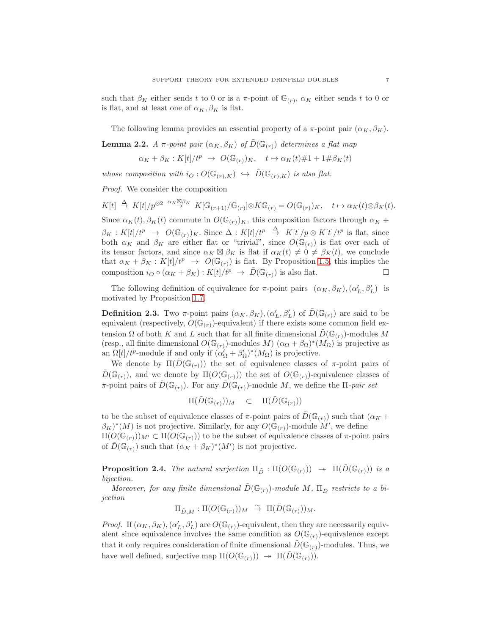such that  $\beta_K$  either sends t to 0 or is a  $\pi$ -point of  $\mathbb{G}_r$ ,  $\alpha_K$  either sends t to 0 or is flat, and at least one of  $\alpha_K, \beta_K$  is flat.

The following lemma provides an essential property of a  $\pi$ -point pair  $(\alpha_K, \beta_K)$ .

<span id="page-6-2"></span>**Lemma 2.2.** *A*  $\pi$ -point pair  $(\alpha_K, \beta_K)$  of  $\tilde{D}(\mathbb{G}_{(r)})$  determines a flat map

$$
\alpha_K + \beta_K : K[t]/t^p \to O(\mathbb{G}_{(r)})_K, \quad t \mapsto \alpha_K(t) \# 1 + 1 \# \beta_K(t)
$$

*whose composition with*  $i_Q: O(\mathbb{G}_{(r),K}) \hookrightarrow \tilde{D}(\mathbb{G}_{(r),K})$  *is also flat.* 

*Proof.* We consider the composition

 $K[t] \stackrel{\Delta}{\to} K[t]/p^{\otimes 2} \stackrel{\alpha_K \boxtimes \beta_K}{\to} K[\mathbb{G}_{(r+1)}/\mathbb{G}_{(r)}] \otimes K\mathbb{G}_{(r)} = O(\mathbb{G}_{(r)})_K, \quad t \mapsto \alpha_K(t) \otimes \beta_K(t).$ 

Since  $\alpha_K(t), \beta_K(t)$  commute in  $O(\mathbb{G}_{(r)})_K$ , this composition factors through  $\alpha_K +$  $\beta_K: K[t]/t^p \to O(\mathbb{G}_{(r)})_K$ . Since  $\Delta: K[t]/t^p \stackrel{\Delta}{\to} K[t]/p \otimes K[t]/t^p$  is flat, since both  $\alpha_K$  and  $\beta_K$  are either flat or "trivial", since  $O(\mathbb{G}_{(r)})$  is flat over each of its tensor factors, and since  $\alpha_K \boxtimes \beta_K$  is flat if  $\alpha_K(t) \neq 0 \neq \beta_K(t)$ , we conclude that  $\alpha_K + \beta_K : K[t]/t^p \rightarrow O(\mathbb{G}_{(r)})$  is flat. By Proposition [1.5,](#page-4-0) this implies the composition  $i_Q \circ (\alpha_K + \beta_K) : K[t]/t^p \to \tilde{D}(\mathbb{G}_{(r)})$  is also flat.

The following definition of equivalence for  $\pi$ -point pairs  $(\alpha_K, \beta_K), (\alpha'_L, \beta'_L)$  is motivated by Proposition [1.7.](#page-5-0)

<span id="page-6-0"></span>**Definition 2.3.** Two  $\pi$ -point pairs  $(\alpha_K, \beta_K), (\alpha'_L, \beta'_L)$  of  $\tilde{D}(\mathbb{G}_{(r)})$  are said to be equivalent (respectively,  $O(\mathbb{G}_{(r)})$ -equivalent) if there exists some common field extension  $\Omega$  of both K and L such that for all finite dimensional  $\tilde{D}(\mathbb{G}_{(r)})$ -modules M (resp., all finite dimensional  $O(\mathbb{G}_{(r)})$ -modules M)  $(\alpha_{\Omega} + \beta_{\Omega})^*(M_{\Omega})$  is projective as an  $\Omega[t]/t^p$ -module if and only if  $(\alpha'_\Omega + \beta'_\Omega)^*(M_\Omega)$  is projective.

We denote by  $\Pi(D(\mathbb{G}_{(r)}))$  the set of equivalence classes of  $\pi$ -point pairs of  $\tilde{D}(\mathbb{G}_{(r)})$ , and we denote by  $\Pi(O(\mathbb{G}_{(r)}))$  the set of  $O(\mathbb{G}_{(r)})$ -equivalence classes of  $\pi$ -point pairs of  $\tilde{D}(\mathbb{G}_{(r)})$ . For any  $\tilde{D}(\mathbb{G}_{(r)})$ -module M, we define the  $\Pi$ -*pair set* 

$$
\Pi(\tilde{D}(\mathbb{G}_{(r)}))_M \quad \subset \quad \Pi(\tilde{D}(\mathbb{G}_{(r)}))
$$

to be the subset of equivalence classes of  $\pi$ -point pairs of  $D(\mathbb{G}_{(r)})$  such that  $(\alpha_K +$  $(\beta_K)^*(M)$  is not projective. Similarly, for any  $O(\mathbb{G}_{(r)})$ -module M', we define  $\Pi(O(\mathbb{G}_{(r)}))_{M'} \subset \Pi(O(\mathbb{G}_{(r)}))$  to be the subset of equivalence classes of  $\pi$ -point pairs of  $\tilde{D}(\mathbb{G}_{(r)})$  such that  $(\alpha_K + \beta_K)^*(M')$  is not projective.

<span id="page-6-1"></span>**Proposition 2.4.** *The natural surjection*  $\Pi_{\tilde{D}} : \Pi(O(\mathbb{G}_{(r)})) \rightarrow \Pi(\tilde{D}(\mathbb{G}_{(r)}))$  *is a bijection.*

*Moreover, for any finite dimensional*  $\tilde{D}(\mathbb{G}_{(r)})$ -module M,  $\Pi_{\tilde{D}}$  restricts to a bi*jection*

$$
\Pi_{\tilde{D},M}:\Pi(O(\mathbb G_{(r)}))_M\;\stackrel{\sim}{\to}\; \Pi(\tilde{D}(\mathbb G_{(r)}))_M.
$$

*Proof.* If  $(\alpha_K, \beta_K)$ ,  $(\alpha'_L, \beta'_L)$  are  $O(\mathbb{G}_{(r)})$ -equivalent, then they are necessarily equivalent since equivalence involves the same condition as  $O(\mathbb{G}_{(r)})$ -equivalence except that it only requires consideration of finite dimensional  $\tilde{D}(\mathbb{G}_{(r)})$ -modules. Thus, we have well defined, surjective map  $\Pi(O(\mathbb{G}_{(r)})) \rightarrow \Pi(D(\mathbb{G}_{(r)})).$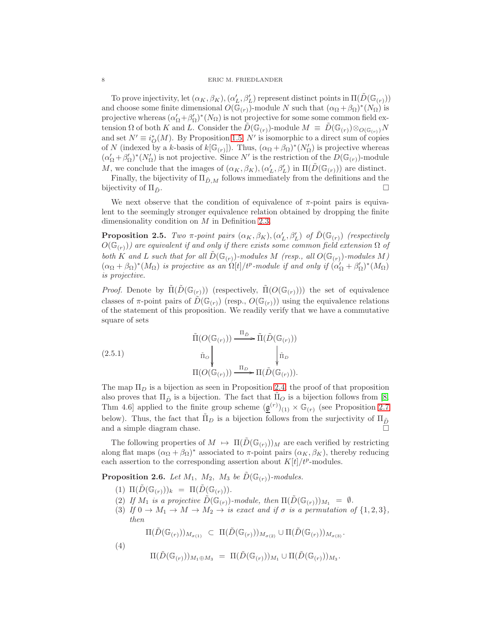#### 8 ERIC M. FRIEDLANDER

To prove injectivity, let  $(\alpha_K, \beta_K), (\alpha_L', \beta_L')$  represent distinct points in  $\Pi(\tilde{D}(\mathbb{G}_{(r)}))$ and choose some finite dimensional  $O(\bar{\mathbb{G}}_{(r)})$ -module N such that  $(\alpha_{\Omega} + \beta_{\Omega})^*(N_{\Omega})$  is projective whereas  $(\alpha'_\Omega + \beta'_\Omega)^*(N_\Omega)$  is not projective for some some common field extension  $\Omega$  of both K and L. Consider the  $D(\mathbb{G}_{(r)})$ -module  $M \equiv D(\mathbb{G}_{(r)})\otimes_{O(\mathbb{G}_{(r)})}N$ and set  $N' \equiv i_O^*(M)$ . By Proposition [1.5,](#page-4-0) N' is isomorphic to a direct sum of copies of N (indexed by a k-basis of  $k[\mathbb{G}_{(r)}]$ ). Thus,  $(\alpha_{\Omega} + \beta_{\Omega})^*(N'_{\Omega})$  is projective whereas  $(\alpha'_\Omega + \beta'_\Omega)^*(N'_\Omega)$  is not projective. Since N' is the restriction of the  $D(\mathbb{G}_{(r)})$ -module M, we conclude that the images of  $(\alpha_K, \beta_K), (\alpha'_L, \beta'_L)$  in  $\Pi(\tilde{D}(\mathbb{G}_{(r)}))$  are distinct.

Finally, the bijectivity of  $\Pi_{\tilde{D},M}$  follows immediately from the definitions and the bijectivity of  $\Pi_{\tilde{D}}$ .

We next observe that the condition of equivalence of  $\pi$ -point pairs is equivalent to the seemingly stronger equivalence relation obtained by dropping the finite dimensionality condition on M in Definition [2.3.](#page-6-0)

**Proposition 2.5.** *Two*  $\pi$ -point pairs  $(\alpha_K, \beta_K), (\alpha'_L, \beta'_L)$  of  $\tilde{D}(\mathbb{G}_{(r)})$  (respectively  $O(\mathbb{G}_{(r)})$  are equivalent if and only if there exists some common field extension  $\Omega$  of *both* K and L such that for all  $\hat{D}(\mathbb{G}_{(r)})$ -modules M (resp., all  $O(\mathbb{G}_{(r)})$ -modules M)  $(\alpha_{\Omega} + \beta_{\Omega})^*(M_{\Omega})$  *is projective as an*  $\Omega[t]/t^p$ -module *if and only if*  $(\alpha'_{\Omega} + \beta'_{\Omega})^*(M_{\Omega})$ *is projective.*

*Proof.* Denote by  $\tilde{\Pi}(\tilde{D}(\mathbb{G}_{(r)}))$  (respectively,  $\tilde{\Pi}(O(\mathbb{G}_{(r)}))$ ) the set of equivalence classes of  $\pi$ -point pairs of  $D(\mathbb{G}_{(r)})$  (resp.,  $O(\mathbb{G}_{(r)})$ ) using the equivalence relations of the statement of this proposition. We readily verify that we have a commutative square of sets

(2.5.1)  
\n
$$
\tilde{\Pi}(O(\mathbb{G}_{(r)})) \xrightarrow{\Pi_{\tilde{D}}} \tilde{\Pi}(\tilde{D}(\mathbb{G}_{(r)}))
$$
\n
$$
\tilde{\Pi}_{O} \downarrow \qquad \qquad \downarrow \tilde{\Pi}_{D}
$$
\n
$$
\Pi(O(\mathbb{G}_{(r)})) \xrightarrow{\Pi_{D}} \Pi(\tilde{D}(\mathbb{G}_{(r)})).
$$

The map  $\Pi_D$  is a bijection as seen in Proposition [2.4;](#page-6-1) the proof of that proposition also proves that  $\Pi_{\tilde{D}}$  is a bijection. The fact that  $\Pi_{O}$  is a bijection follows from [\[8,](#page-24-4) Thm 4.6] applied to the finite group scheme  $(\underline{\mathfrak{g}}^{(r)})_{(1)} \times \mathbb{G}_{(r)}$  (see Proposition [2.7](#page-8-0)) below). Thus, the fact that  $\tilde{\Pi}_D$  is a bijection follows from the surjectivity of  $\Pi_{\tilde{D}}$  and a simple diagram chase. and a simple diagram chase.

The following properties of  $M \mapsto \Pi(D(\mathbb{G}_{(r)}))_M$  are each verified by restricting along flat maps  $(\alpha_{\Omega} + \beta_{\Omega})^*$  associated to  $\pi$ -point pairs  $(\alpha_K, \beta_K)$ , thereby reducing each assertion to the corresponding assertion about  $K[t]/t^p$ -modules.

<span id="page-7-0"></span>**Proposition 2.6.** *Let*  $M_1$ ,  $M_2$ ,  $M_3$  *be*  $\tilde{D}(\mathbb{G}_{(r)})$ *-modules.* 

- (1)  $\Pi(\tilde{D}(\mathbb{G}_{(r)}))_k = \Pi(\tilde{D}(\mathbb{G}_{(r)})).$
- (2) If  $M_1$  is a projective  $\tilde{D}(\mathbb{G}_{(r)})$ -module, then  $\Pi(\tilde{D}(\mathbb{G}_{(r)}))_{M_1} = \emptyset$ .
- (3) *If*  $0 \to M_1 \to M \to M_2 \to i$ *s* exact and *if*  $\sigma$  *is a permutation of*  $\{1,2,3\}$ *, then*

 $\Pi(\tilde{D}(\mathbb{G}_{(r)}))_{M_{\sigma(1)}} \subset \Pi(\tilde{D}(\mathbb{G}_{(r)}))_{M_{\sigma(2)}} \cup \Pi(\tilde{D}(\mathbb{G}_{(r)}))_{M_{\sigma(3)}}.$ 

$$
(4)
$$

$$
\Pi(\tilde{D}(\mathbb G_{(r)}))_{M_1\oplus M_3} \;=\; \Pi(\tilde{D}(\mathbb G_{(r)}))_{M_1} \cup \Pi(\tilde{D}(\mathbb G_{(r)}))_{M_3}.
$$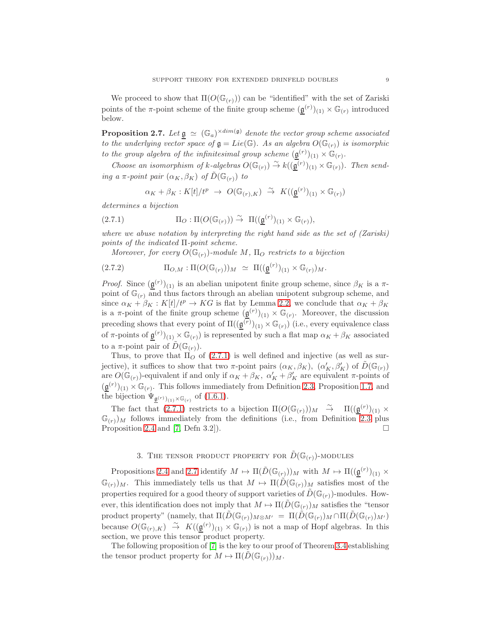We proceed to show that  $\Pi(O(\mathbb{G}_{(r)}))$  can be "identified" with the set of Zariski points of the  $\pi$ -point scheme of the finite group scheme  $(\underline{\mathfrak{g}}^{(r)})_{(1)} \times \mathbb{G}_{(r)}$  introduced below.

<span id="page-8-0"></span>**Proposition 2.7.** Let  $\mathfrak{g} \simeq (\mathbb{G}_a)^{\times dim(\mathfrak{g})}$  denote the vector group scheme associated *to the underlying vector space of*  $\mathfrak{g} = Lie(\mathbb{G})$ *. As an algebra*  $O(\mathbb{G}_{(r)})$  *is isomorphic to the group algebra of the infinitesimal group scheme*  $(\underline{\mathfrak{g}}^{(r)})_{(1)} \times \mathbb{G}_r$ .

*Choose an isomorphism of*  $k$ -algebras  $O(\mathbb{G}_{(r)}) \stackrel{\sim}{\to} k((\mathfrak{g}^{(r)})_{(1)} \times \mathbb{G}_{(r)})$ . Then send*ing a*  $\pi$ *-point pair*  $(\alpha_K, \beta_K)$  *of*  $\tilde{D}(\mathbb{G}_{(r)})$  *to* 

<span id="page-8-1"></span>
$$
\alpha_K + \beta_K : K[t]/t^p \ \to \ O(\mathbb G_{(r),K}) \ \stackrel{\sim}{\to} \ K((\underline{\mathfrak{g}}^{(r)})_{(1)} \times \mathbb G_{(r)})
$$

*determines a bijection*

(2.7.1) 
$$
\Pi_O: \Pi(O(\mathbb{G}_{(r)})) \stackrel{\sim}{\to} \Pi((\underline{\mathfrak{g}}^{(r)})_{(1)} \times \mathbb{G}_{(r)}),
$$

*where we abuse notation by interpreting the right hand side as the set of (Zariski) points of the indicated* Π*-point scheme.*

*Moreover, for every*  $O(\mathbb{G}_{(r)})$ -module M,  $\Pi_{\mathcal{O}}$  restricts to a bijection

$$
(2.7.2) \t \Pi_{O,M} : \Pi(O(\mathbb{G}_{(r)}))_M \simeq \Pi((\underline{\mathfrak{g}}^{(r)})_{(1)} \times \mathbb{G}_{(r)})_M.
$$

*Proof.* Since  $(\underline{\mathfrak{g}}^{(r)})_{(1)}$  is an abelian unipotent finite group scheme, since  $\beta_K$  is a  $\pi$ point of  $\mathbb{G}_{(r)}$  and thus factors through an abelian unipotent subgroup scheme, and since  $\alpha_K + \beta_K : K[t]/t^p \to KG$  is flat by Lemma [2.2,](#page-6-2) we conclude that  $\alpha_K + \beta_K$ is a  $\pi$ -point of the finite group scheme  $(\underline{\mathfrak{g}}^{(r)})_{(1)} \times \mathbb{G}_{(r)}$ . Moreover, the discussion preceding shows that every point of  $\Pi((\underline{\mathfrak{g}}^{(r)})_{(1)} \times \mathbb{G}_{(r)})$  (i.e., every equivalence class of  $\pi$ -points of  $\underline{\mathfrak{g}}^{(r)}(1) \times \mathbb{G}_{(r)}$  is represented by such a flat map  $\alpha_K + \beta_K$  associated to a  $\pi$ -point pair of  $D(\mathbb{G}_{(r)})$ .

Thus, to prove that  $\Pi_{\mathcal{O}}$  of [\(2.7.1\)](#page-8-1) is well defined and injective (as well as surjective), it suffices to show that two  $\pi$ -point pairs  $(\alpha_K, \beta_K)$ ,  $(\alpha'_K, \beta'_K)$  of  $\tilde{D}(\mathbb{G}_{(r)})$ are  $O(\mathbb{G}_{(r)})$ -equivalent if and only if  $\alpha_K + \beta_K$ ,  $\alpha'_K + \beta'_K$  are equivalent  $\pi$ -points of  $(\underline{\mathfrak{g}}^{(r)})_{(1)} \times \mathbb{G}_{(r)}$ . This follows immediately from Definition [2.3,](#page-6-0) Proposition [1.7,](#page-5-0) and the bijection  $\Psi_{\underline{\mathfrak{g}}^{(r)}(1)} \times \mathbb{G}_{(r)}$  of  $(1.6.1)$ .

The fact that [\(2.7.1\)](#page-8-1) restricts to a bijection  $\Pi(O(\mathbb{G}_{(r)}))_M \cong \Pi((\mathfrak{g}^{(r)})_{(1)} \times$  $(\mathbb{G}_{(r)})_M$  follows immediately from the definitions (i.e., from Definition [2.3](#page-6-0) plus Proposition [2.4](#page-6-1) and [\[7,](#page-24-10) Defn 3.2]).

## 3. THE TENSOR PRODUCT PROPERTY FOR  $\tilde{D}(\mathbb{G}_{(r)})$ -MODULES

Propositions [2.4](#page-6-1) and [2.7](#page-8-0) identify  $M \mapsto \Pi(\tilde{D}(\mathbb{G}_{(r)}))_M$  with  $M \mapsto \Pi((\mathfrak{g}^{(r)})_{(1)} \times$  $(\mathbb{G}_{(r)})_M$ . This immediately tells us that  $M \mapsto \Pi(\tilde{D}(\mathbb{G}_{(r)})_M$  satisfies most of the properties required for a good theory of support varieties of  $\tilde{D}(\mathbb{G}_{(r)})$ -modules. However, this identification does not imply that  $M \mapsto \Pi(D(\mathbb{G}_{(r)})_M$  satisfies the "tensor product property" (namely, that  $\Pi(\tilde{D}(\mathbb{G}_{(r)})_{M\otimes M'} = \Pi(\tilde{D}(\mathbb{G}_{(r)})_{M} \cap \Pi(\tilde{D}(\mathbb{G}_{(r)})_{M'})$ because  $O(\mathbb{G}_{(r),K}) \stackrel{\sim}{\to} K((\underline{\mathfrak{g}}^{(r)})_{(1)} \times \mathbb{G}_{(r)})$  is not a map of Hopf algebras. In this section, we prove this tensor product property.

The following proposition of [\[7\]](#page-24-10) is the key to our proof of Theorem [3.4](#page-10-0) establishing the tensor product property for  $M \mapsto \Pi(D(\mathbb{G}_{(r)}))_M$ .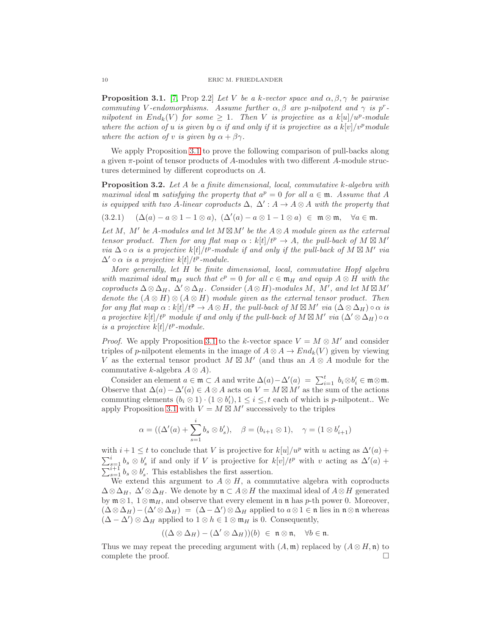<span id="page-9-1"></span>**Proposition 3.1.** [\[7,](#page-24-10) Prop 2.2] *Let* V *be a k-vector space and*  $\alpha, \beta, \gamma$  *be pairwise commuting* V-endomorphisms. Assume further  $\alpha, \beta$  are p-nilpotent and  $\gamma$  is p<sup>r</sup>*nilpotent in*  $End_k(V)$  *for some*  $\geq 1$ *. Then V is projective as a*  $k[u]/u^p$ *-module where the action of* u *is given by*  $\alpha$  *if and only if it is projective as a*  $k[v]/v^p$  module *where the action of v is given by*  $\alpha + \beta \gamma$ *.* 

We apply Proposition [3.1](#page-9-1) to prove the following comparison of pull-backs along a given  $\pi$ -point of tensor products of A-modules with two different A-module structures determined by different coproducts on A.

<span id="page-9-0"></span>Proposition 3.2. *Let* A *be a finite dimensional, local, commutative* k*-algebra with maximal ideal* **m** *satisfying the property that*  $a^p = 0$  *for all*  $a \in \mathfrak{m}$ *. Assume that* A *is equipped with two A-linear coproducts*  $\Delta$ ,  $\Delta'$  :  $A \rightarrow A \otimes A$  *with the property that* 

<span id="page-9-2"></span> $(3.2.1)$   $(\Delta(a) - a \otimes 1 - 1 \otimes a), (\Delta'(a) - a \otimes 1 - 1 \otimes a) \in \mathfrak{m} \otimes \mathfrak{m}, \quad \forall a \in \mathfrak{m}.$ 

*Let* M, M′ *be* A*-modules and let* M ⊠M′ *be the* A⊗A *module given as the external tensor product. Then for any flat map*  $\alpha$  :  $k[t]/t^p \rightarrow A$ , the pull-back of  $M \boxtimes M'$ *via*  $\Delta \circ \alpha$  *is a projective*  $k[t]/t^p$ -module *if and only if the pull-back of*  $M \boxtimes M'$  *via*  $\Delta' \circ \alpha$  *is a projective*  $k[t]/t^p$ -module.

*More generally, let* H *be finite dimensional, local, commutative Hopf algebra with maximal ideal*  $\mathfrak{m}_H$  *such that*  $c^p = 0$  *for all*  $c \in \mathfrak{m}_H$  *and equip*  $A \otimes H$  *with the*  $coproducts \Delta \otimes \Delta_H$ ,  $\Delta' \otimes \Delta_H$ . Consider  $(A \otimes H)$ -modules M, M', and let  $M \boxtimes M'$ *denote the*  $(A \otimes H) \otimes (A \otimes H)$  *module given as the external tensor product. Then for any flat map*  $\alpha : k[t]/t^{\mathfrak{p}} \to A \otimes H$ *, the pull-back of*  $M \boxtimes M'$  *via*  $(\Delta \otimes \Delta_H) \circ \alpha$  *is a projective*  $k[t]/t^p$  *module if and only if the pull-back of*  $M \boxtimes M'$  *via*  $(\Delta' \otimes \Delta_H) \circ \alpha$ *is a projective*  $k[t]/t^p$ -module.

*Proof.* We apply Proposition [3.1](#page-9-1) to the k-vector space  $V = M \otimes M'$  and consider triples of p-nilpotent elements in the image of  $A \otimes A \rightarrow End_k(V)$  given by viewing V as the external tensor product  $M \boxtimes M'$  (and thus an  $A \otimes A$  module for the commutative k-algebra  $A \otimes A$ ).

Consider an element  $a \in \mathfrak{m} \subset A$  and write  $\Delta(a) - \Delta'(a) = \sum_{i=1}^t b_i \otimes b'_i \in \mathfrak{m} \otimes \mathfrak{m}$ . Observe that  $\Delta(a) - \Delta'(a) \in A \otimes A$  acts on  $V = M \boxtimes M'$  as the sum of the actions commuting elements  $(b_i \otimes 1) \cdot (1 \otimes b'_i), 1 \leq i \leq t$  each of which is *p*-nilpotent.. We apply Proposition [3.1](#page-9-1) with  $V = M \boxtimes M'$  successively to the triples

$$
\alpha = ((\Delta'(a) + \sum_{s=1}^{\ell} b_s \otimes b'_s), \quad \beta = (b_{i+1} \otimes 1), \quad \gamma = (1 \otimes b'_{i+1})
$$

i

with  $i + 1 \leq t$  to conclude that V is projective for  $k[u]/u^p$  with u acting as  $\Delta'(a)$  +  $\sum_{s=1}^i b_s \otimes b'_s$  if and only if V is projective for  $k[v]/t^p$  with v acting as  $\Delta'(a)$  +  $\sum_{s=1}^{i+1} b_s \otimes b'_s$ . This establishes the first assertion.

We extend this argument to  $A \otimes H$ , a commutative algebra with coproducts  $\Delta \otimes \Delta_H$ ,  $\Delta' \otimes \Delta_H$ . We denote by  $\mathfrak{n} \subset A \otimes H$  the maximal ideal of  $A \otimes H$  generated by  $\mathfrak{m} \otimes 1$ ,  $1 \otimes \mathfrak{m}_H$ , and observe that every element in  $\mathfrak{n}$  has p-th power 0. Moreover,  $(\Delta \otimes \Delta_H) - (\Delta' \otimes \Delta_H) = (\Delta - \Delta') \otimes \Delta_H$  applied to  $a \otimes 1 \in \mathfrak{n}$  lies in  $\mathfrak{n} \otimes \mathfrak{n}$  whereas  $(\Delta - \Delta') \otimes \Delta_H$  applied to  $1 \otimes h \in 1 \otimes \mathfrak{m}_H$  is 0. Consequently,

$$
((\Delta \otimes \Delta_H) - (\Delta' \otimes \Delta_H))(b) \in \mathfrak{n} \otimes \mathfrak{n}, \quad \forall b \in \mathfrak{n}.
$$

Thus we may repeat the preceding argument with  $(A, \mathfrak{m})$  replaced by  $(A \otimes H, \mathfrak{n})$  to complete the proof.  $\Box$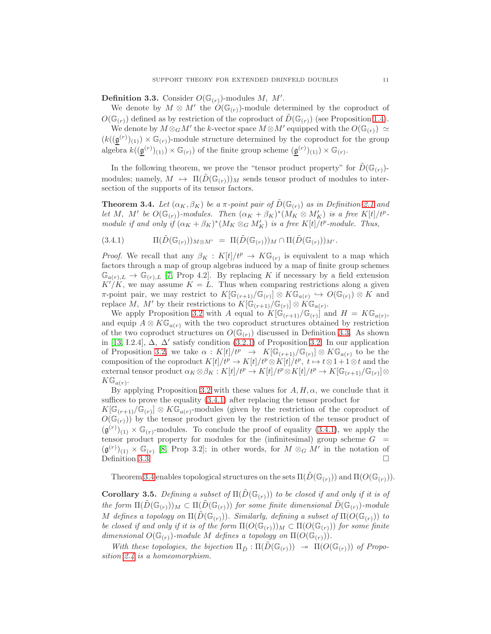<span id="page-10-1"></span>**Definition 3.3.** Consider  $O(\mathbb{G}_{(r)})$ -modules M, M'.

We denote by  $M \otimes M'$  the  $O(\mathbb{G}_{(r)})$ -module determined by the coproduct of  $O(\mathbb{G}_{(r)})$  defined as by restriction of the coproduct of  $D(\mathbb{G}_{(r)})$  (see Proposition [1.4\)](#page-3-1).

We denote by  $M \otimes_G M'$  the k-vector space  $M \otimes M'$  equipped with the  $O(\mathbb{G}_{(r)}) \simeq$  $(k(\underline{\mathfrak{g}}^{(r)})_{(1)}) \times \mathbb{G}_{(r)}$ -module structure determined by the coproduct for the group algebra  $k((\underline{\mathfrak{g}}^{(r)})_{(1)}) \times \mathbb{G}_{(r)}$  of the finite group scheme  $(\underline{\mathfrak{g}}^{(r)})_{(1)}) \times \mathbb{G}_{(r)}$ .

In the following theorem, we prove the "tensor product property" for  $\tilde{D}(\mathbb{G}_{(r)})$ modules; namely,  $M \mapsto \Pi(D(\mathbb{G}_{(r)}))_M$  sends tensor product of modules to intersection of the supports of its tensor factors.

<span id="page-10-0"></span>**Theorem 3.4.** Let  $(\alpha_K, \beta_K)$  be a  $\pi$ -point pair of  $\tilde{D}(\mathbb{G}_{(r)})$  as in Definition [2.1](#page-5-2) and *let* M, M' be  $O(\mathbb{G}_{(r)})$ -modules. Then  $(\alpha_K + \beta_K)^*(M_K \otimes M_K')$  is a free K[t]/t<sup>p</sup>*module if and only if*  $(\alpha_K + \beta_K)^*(M_K \otimes_G M'_K)$  *is a free*  $K[t]/t^p$ -module. Thus,

<span id="page-10-2"></span>
$$
(3.4.1) \t\Pi(\tilde{D}(\mathbb{G}_{(r)}))_{M\otimes M'} = \Pi(\tilde{D}(\mathbb{G}_{(r)}))_{M} \cap \Pi(\tilde{D}(\mathbb{G}_{(r)}))_{M'}.
$$

*Proof.* We recall that any  $\beta_K : K[t]/t^p \to K\mathbb{G}_{(r)}$  is equivalent to a map which factors through a map of group algebras induced by a map of finite group schemes  $\mathbb{G}_{a(r),L} \to \mathbb{G}_{(r),L}$  [\[7,](#page-24-10) Prop 4.2]. By replacing K if necessary by a field extension  $K'/K$ , we may assume  $K = L$ . Thus when comparing restrictions along a given  $\pi$ -point pair, we may restrict to  $K[\mathbb{G}_{(r+1)}/\mathbb{G}_{(r)}] \otimes K\mathbb{G}_{a(r)} \hookrightarrow O(\mathbb{G}_{(r)}) \otimes K$  and replace M, M' by their restrictions to  $K[\mathbb{G}_{(r+1)}/\mathbb{G}_{(r)}] \otimes \widetilde{K} \mathbb{G}_{a(r)}$ .

We apply Proposition [3.2](#page-9-0) with A equal to  $K[\mathbb{G}$ <sub>(r+1)</sub>/ $\mathbb{G}_{(r)}$  and  $H = K\mathbb{G}_{a(r)}$ , and equip  $A \otimes K\mathbb{G}_{a(r)}$  with the two coproduct structures obtained by restriction of the two coproduct structures on  $O(\mathbb{G}_{(r)})$  discussed in Definition [3.3.](#page-10-1) As shown in [\[13,](#page-24-9) I.2.4],  $\Delta$ ,  $\Delta'$  satisfy condition [\(3.2.1\)](#page-9-2) of Proposition [3.2.](#page-9-0) In our application of Proposition [3.2,](#page-9-0) we take  $\alpha: K[t]/t^p \to K[\mathbb{G}_{(r+1)}/\mathbb{G}_{(r)}] \otimes K\mathbb{G}_{a(r)}$  to be the composition of the coproduct  $K[t]/t^p \to K[t]/t^p \otimes K[t]/t^p$ ,  $t \mapsto t \otimes 1 + 1 \otimes t$  and the external tensor product  $\alpha_K \otimes \beta_K : K[t]/t^p \to K[t]/t^p \otimes K[t]/t^p \to K[\mathbb{G}_{(r+1)}/\mathbb{G}_{(r)}] \otimes$  $K\mathbb{G}_{a(r)}$ .

By applying Proposition [3.2](#page-9-0) with these values for  $A, H, \alpha$ , we conclude that it suffices to prove the equality [\(3.4.1\)](#page-10-2) after replacing the tensor product for  $K[\mathbb{G}_{(r+1)}/\mathbb{G}_{(r)}] \otimes K\mathbb{G}_{a(r)}$ -modules (given by the restriction of the coproduct of  $O(\mathbb{G}_{(r)})$  by the tensor product given by the restriction of the tensor product of  $(\mathfrak{g}^{(r)})_{(1)} \times \mathbb{G}_{(r)}$ -modules. To conclude the proof of equality [\(3.4.1\)](#page-10-2), we apply the tensor product property for modules for the (infinitesimal) group scheme  $G =$  $(\mathfrak{g}^{(r)})_{(1)} \times \mathbb{G}_{(r)}$  [\[8,](#page-24-4) Prop 3.2]; in other words, for  $M \otimes_G M'$  in the notation of Definition [3.3.](#page-10-1)  $\Box$ 

Theorem [3.4](#page-10-0) enables topological structures on the sets  $\Pi(\tilde{D}(\mathbb{G}_{(r)}))$  and  $\Pi(O(\mathbb{G}_{(r)})).$ 

**Corollary 3.5.** *Defining a subset of*  $\Pi(\tilde{D}(\mathbb{G}_{(r)}))$  *to be closed if and only if it is of the form*  $\Pi(D(\mathbb{G}_{(r)}))_M \subset \Pi(D(\mathbb{G}_{(r)}))$  *for some finite dimensional*  $D(\mathbb{G}_{(r)})$ *-module* M defines a topology on  $\Pi(D(\mathbb{G}_{(r)}))$ *. Similarly, defining a subset of*  $\Pi(O(\mathbb{G}_{(r)}))$  *to be closed if and only if it is of the form*  $\Pi(O(\mathbb{G}_{(r)}))_M \subset \Pi(O(\mathbb{G}_{(r)}))$  *for some finite dimensional*  $O(\mathbb{G}_{(r)})$ *-module* M *defines* a topology on  $\Pi(O(\mathbb{G}_{(r)}))$ .

With these topologies, the bijection  $\Pi_{\tilde{D}} : \Pi(D(\mathbb{G}_{(r)})) \to \Pi(O(\mathbb{G}_{(r)}))$  of Propo*sition [2.4](#page-6-1) is a homeomorphism.*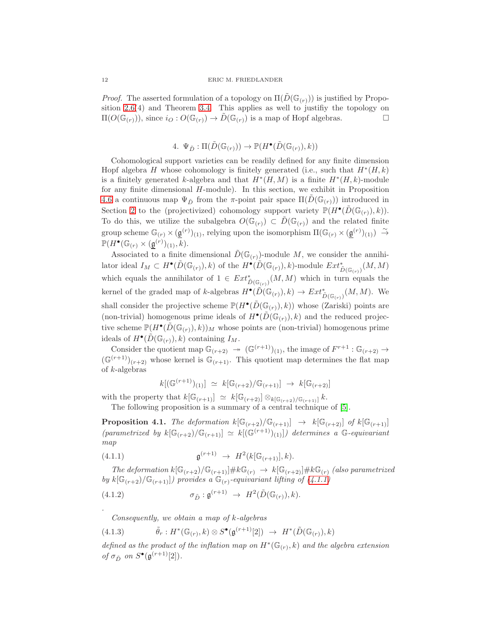#### 12 ERIC M. FRIEDLANDER

*Proof.* The asserted formulation of a topology on  $\Pi(D(\mathbb{G}_{(r)}))$  is justified by Proposition [2.6\(](#page-7-0)4) and Theorem [3.4.](#page-10-0) This applies as well to justifiy the topology on  $\Pi(O(\mathbb{G}_{(r)}))$ , since  $i_O: O(\mathbb{G}_{(r)}) \to D(\mathbb{G}_{(r)})$  is a map of Hopf algebras.

# 4.  $\Psi_{\tilde{D}} : \Pi(\tilde{D}(\mathbb{G}_{(r)})) \to \mathbb{P}(H^{\bullet}(\tilde{D}(\mathbb{G}_{(r)}), k))$

<span id="page-11-0"></span>Cohomological support varieties can be readily defined for any finite dimension Hopf algebra H whose cohomology is finitely generated (i.e., such that  $H^*(H, k)$ is a finitely generated k-algebra and that  $H^*(H, M)$  is a finite  $H^*(H, k)$ -module for any finite dimensional H-module). In this section, we exhibit in Proposition [4.6](#page-14-0) a continuous map  $\Psi_{\tilde{D}}$  from the π-point pair space  $\Pi(D(\mathbb{G}_{(r)}))$  introduced in Section [2](#page-5-3) to the (projectivized) cohomology support variety  $\mathbb{P}(H^{\bullet}(\tilde{D}(\mathbb{G}_{(r)}), k)).$ To do this, we utilize the subalgebra  $O(\mathbb{G}_{(r)}) \subset \tilde{D}(\mathbb{G}_{(r)})$  and the related finite group scheme  $\mathbb{G}_{(r)} \times (\underline{\mathfrak{g}}^{(r)})_{(1)}$ , relying upon the isomorphism  $\Pi(\mathbb{G}_{(r)} \times (\underline{\mathfrak{g}}^{(r)})_{(1)}) \stackrel{\sim}{\rightarrow}$  $\mathbb{P}(H^{\bullet}(\mathbb{G}_{(r)} \times (\underline{\mathfrak{g}}^{(r)})_{(1)}, k).$ 

Associated to a finite dimensional  $\tilde{D}(\mathbb{G}_{(r)})$ -module M, we consider the annihilator ideal  $I_M \subset H^{\bullet}(\tilde{D}(\mathbb{G}_{(r)}), k)$  of the  $H^{\bullet}(\tilde{D}(\mathbb{G}_{(r)}), k)$ -module  $Ext^*_{\tilde{D}(\mathbb{G}_{(r)})}(M, M)$ which equals the annihilator of  $1 \in Ext^*_{\tilde{D}(\mathbb{G}_{(r)})}(M,M)$  which in turn equals the kernel of the graded map of k-algebras  $H^{\bullet}(\tilde{D}(\mathbb{G}_{(r)}), k) \to Ext^*_{\tilde{D}(\mathbb{G}_{(r)})}(M, M)$ . We shall consider the projective scheme  $\mathbb{P}(H^{\bullet}(\tilde{D}(\mathbb{G}_{(r)}), k))$  whose (Zariski) points are (non-trivial) homogenous prime ideals of  $H^{\bullet}(\tilde{D}(\mathbb{G}_{(r)}), k)$  and the reduced projective scheme  $\mathbb{P}(H^{\bullet}(\tilde{D}(\mathbb{G}_{(r)}), k))_M$  whose points are (non-trivial) homogenous prime ideals of  $H^{\bullet}(\tilde{D}(\mathbb{G}_{(r)}), k)$  containing  $I_M$ .

Consider the quotient map  $\mathbb{G}_{(r+2)} \to (\mathbb{G}^{(r+1)})_{(1)}$ , the image of  $F^{r+1} : \mathbb{G}_{(r+2)} \to$  $(\mathbb{G}^{(r+1)})_{(r+2)}$  whose kernel is  $\mathbb{G}_{(r+1)}$ . This quotient map determines the flat map of k-algebras

<span id="page-11-1"></span>
$$
k[(\mathbb{G}^{(r+1)})(1)] \simeq k[\mathbb{G}_{(r+2)}/\mathbb{G}_{(r+1)}] \to k[\mathbb{G}_{(r+2)}]
$$

with the property that  $k[\mathbb{G}_{(r+1)}] \simeq k[\mathbb{G}_{(r+2)}] \otimes_{k[\mathbb{G}_{(r+2)}/\mathbb{G}_{(r+1)}]} k$ . The following proposition is a summary of a central technique of [\[5\]](#page-24-5).

<span id="page-11-3"></span>**Proposition 4.1.** *The deformation*  $k[\mathbb{G}_{(r+2)}/\mathbb{G}_{(r+1)}] \rightarrow k[\mathbb{G}_{(r+2)}]$  *of*  $k[\mathbb{G}_{(r+1)}]$  $(parametrized by k[\mathbb{G}_{(r+2})/\mathbb{G}_{(r+1)}] \simeq k[(\mathbb{G}^{(r+1)})(1)]$ *) determines a*  $\mathbb{G}$ -equivariant *map*

(4.1.1) 
$$
\mathfrak{g}^{(r+1)} \to H^2(k[\mathbb{G}_{(r+1)}], k).
$$

*The deformation*  $k[\mathbb{G}_{(r+2)}/\mathbb{G}_{(r+1)}] \# k\mathbb{G}_{(r)} \rightarrow k[\mathbb{G}_{(r+2)}] \# k\mathbb{G}_{(r)}$  *(also parametrized by*  $k[\mathbb{G}_{(r+2)}/\mathbb{G}_{(r+1)}]$ *)* provides a  $\mathbb{G}_{(r)}$ -equivariant lifting of [\(4.1.1\)](#page-11-1)

(4.1.2) 
$$
\sigma_{\tilde{D}} : \mathfrak{g}^{(r+1)} \to H^2(\tilde{D}(\mathbb{G}_{(r)}), k).
$$

<span id="page-11-4"></span><span id="page-11-2"></span>*Consequently, we obtain a map of* k*-algebras*

*.*

(4.1.3) 
$$
\tilde{\theta}_r: H^*(\mathbb{G}_{(r)}, k) \otimes S^{\bullet}(\mathfrak{g}^{(r+1)}[2]) \rightarrow H^*(\tilde{D}(\mathbb{G}_{(r)}), k)
$$

*defined as the product of the inflation map on*  $H^*(\mathbb{G}_{(r)}, k)$  *and the algebra extension of*  $\sigma_{\tilde{D}}$  *on*  $S^{\bullet}(\mathfrak{g}^{(r+1)}[2]).$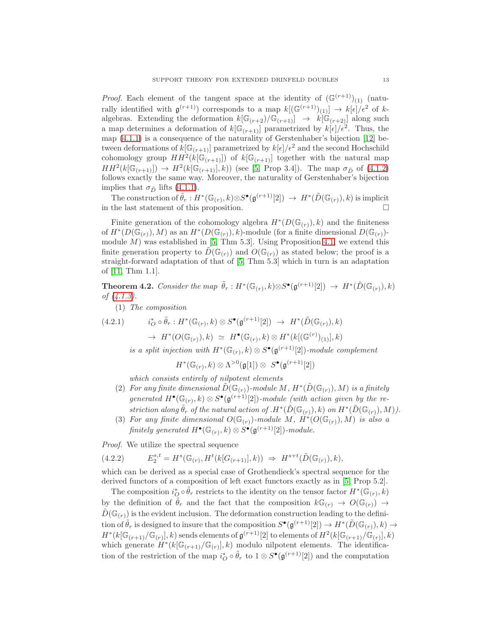*Proof.* Each element of the tangent space at the identity of  $(\mathbb{G}^{(r+1)})_{(1)}$  (naturally identified with  $\mathfrak{g}^{(r+1)}$  corresponds to a map  $k[(\mathbb{G}^{(r+1)})_{(1)}] \to k[\epsilon]/\epsilon^2$  of kalgebras. Extending the deformation  $k[\mathbb{G}_{(r+2)}/\mathbb{G}_{(r+1)}] \rightarrow k[\mathbb{G}_{(r+2)}]$  along such a map determines a deformation of  $k[\mathbb{G}_{(r+1)}]$  parametrized by  $k[\epsilon]/\epsilon^2$ . Thus, the map [\(4.1.1\)](#page-11-1) is a consequence of the naturality of Gerstenhaber's bijection [\[12\]](#page-24-11) between deformations of  $k[\mathbb{G}_{(r+1)}]$  parametrized by  $k[\epsilon]/\epsilon^2$  and the second Hochschild cohomology group  $HH^2(k[\mathbb{G}^{(r+1)}])$  of  $k[\mathbb{G}^{(r+1)}]$  together with the natural map  $HH^2(k[\mathbb{G}_{(r+1)}]) \to H^2(k[\mathbb{G}_{(r+1)}], k)$  (see [\[5,](#page-24-5) Prop 3.4]). The map  $\sigma_{\tilde{D}}$  of [\(4.1.2\)](#page-11-2) follows exactly the same way. Moreover, the naturality of Gerstenhaber's bijection implies that  $\sigma_{\tilde{D}}$  lifts [\(4.1.1\)](#page-11-1).

The construction of  $\tilde{\theta}_r : H^*(\mathbb{G}_{(r)}, k) \otimes S^{\bullet}(\mathfrak{g}^{(r+1)}[2]) \rightarrow H^*(\tilde{D}(\mathbb{G}_{(r)}), k)$  is implicit in the last statement of this proposition.

Finite generation of the cohomology algebra  $H^*(D(\mathbb{G}_{(r)}), k)$  and the finiteness of  $H^*(D(\mathbb{G}_{(r)}), M)$  as an  $H^*(D(\mathbb{G}_{(r)}), k)$ -module (for a finite dimensional  $D(\mathbb{G}_{(r)})$ module  $M$ ) was established in [\[5,](#page-24-5) Thm 5.3]. Using Proposition [4.1,](#page-11-3) we extend this finite generation property to  $D(\mathbb{G}_{(r)})$  and  $O(\mathbb{G}_{(r)})$  as stated below; the proof is a straight-forward adaptation of that of [\[5,](#page-24-5) Thm 5.3] which in turn is an adaptation of [\[11,](#page-24-12) Thm 1.1].

<span id="page-12-1"></span>Theorem 4.2. *Consider the map*  $\tilde{\theta}_r$ :  $H^*(\mathbb{G}_{(r)}, k) \otimes S^{\bullet}(\mathfrak{g}^{(r+1)}[2]) \rightarrow H^*(\tilde{D}(\mathbb{G}_{(r)}), k)$ *of [\(4.1.3\)](#page-11-4).*

(1) *The composition*

$$
(4.2.1) \qquad i_O^* \circ \tilde{\theta}_r : H^*(\mathbb{G}_{(r)}, k) \otimes S^{\bullet}(\mathfrak{g}^{(r+1)}[2]) \rightarrow H^*(\tilde{D}(\mathbb{G}_{(r)}), k)
$$

 $\rightarrow H^*(O(\mathbb{G}_{(r)}), k) \simeq H^{\bullet}(\mathbb{G}_{(r)}, k) \otimes H^*(k[(\mathbb{G}^{(r)})_{(1)}], k)$ 

*is a split injection with*  $H^*(\mathbb{G}_{(r)}, k) \otimes S^{\bullet}(\mathfrak{g}^{(r+1)}[2])$ *-module complement* 

$$
H^*(\mathbb{G}_{(r)}, k) \otimes \Lambda^{>0}(\mathfrak{g}[1]) \otimes S^{\bullet}(\mathfrak{g}^{(r+1)}[2])
$$

*which consists entirely of nilpotent elements*

- (2) For any finite dimensional  $\tilde{D}(\mathbb{G}_{(r)})$ -module M,  $H^*(\tilde{D}(\mathbb{G}_{(r)}), M)$  is a finitely  $generated H<sup>•</sup>(\mathbb{G}_{(r)}, k) \otimes S<sup>•</sup>(\mathfrak{g}^{(r+1)}[2])$ *-module (with action given by the re-* $\tilde{f}$  *striction along*  $\tilde{\theta}_r$  *of the natural action of .H*\* $(\tilde{D}(\mathbb{G}_{(r)}), k)$  *on*  $H^*(\tilde{D}(\mathbb{G}_{(r)}), M)$ *)*.
- (3) For any finite dimensional  $O(\mathbb{G}_{(r)})$ -module M,  $\check{H}^*(O(\mathbb{G}_{(r)}), M)$  is also a  $\emph{finitely generated } H^{\bullet}(\mathbb{G}_{(r)}, k) \otimes S^{\bullet}(\mathfrak{g}^{(r+1)}[2])\textrm{-}module.$

*Proof.* We utilize the spectral sequence

<span id="page-12-0"></span>
$$
(4.2.2) \tE_2^{s,t} = H^s(\mathbb{G}_{(r)}, H^t(k[G_{(r+1)}], k)) \Rightarrow H^{s+t}(\tilde{D}(\mathbb{G}_{(r)}), k),
$$

which can be derived as a special case of Grothendieck's spectral sequence for the derived functors of a composition of left exact functors exactly as in [\[5,](#page-24-5) Prop 5.2].

The composition  $i_O^* \circ \tilde{\theta}_r$  restricts to the identity on the tensor factor  $H^*(\mathbb{G}_{(r)}, k)$ by the definition of  $\tilde{\theta}_r$  and the fact that the composition  $k\mathbb{G}_{(r)} \to O(\mathbb{G}_{(r)}) \to$  $D(\mathbb{G}_{(r)})$  is the evident inclusion. The deformation construction leading to the definition of  $\tilde{\theta}_r$  is designed to insure that the composition  $S^{\bullet}(\mathfrak{g}^{(r+1)}[2]) \to H^*(\tilde{D}(\mathbb{G}_{(r)}), k) \to$  $H^*(k[\mathbb{G}_{(r+1)}/\mathbb{G}_{(r)}], k)$  sends elements of  $\mathfrak{g}^{(r+1)}[2]$  to elements of  $H^2(k[\mathbb{G}_{(r+1)}/\mathbb{G}_{(r)}], k)$ which generate  $H^*(k[\mathbb{G}_{(r+1)}/\mathbb{G}_{(r)}], k)$  modulo nilpotent elements. The identification of the restriction of the map  $i_{\mathcal{O}}^* \circ \tilde{\theta}_r$  to  $1 \otimes S^{\bullet}(\mathfrak{g}^{(r+1)}[2])$  and the computation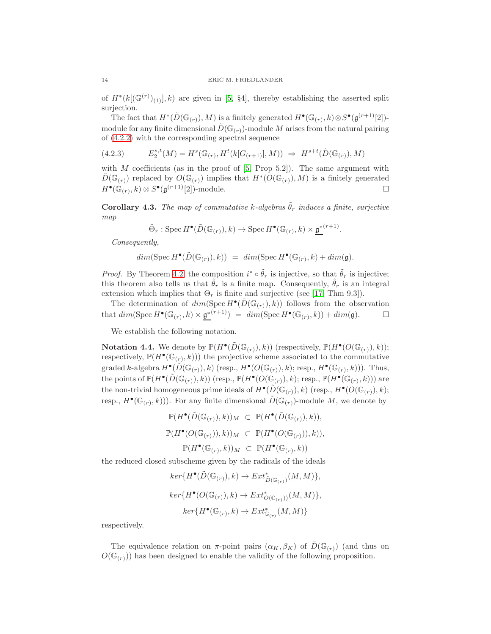of  $H^*(k[(\mathbb{G}^{(r)})_{(1)}], k)$  are given in [\[5,](#page-24-5) §4], thereby establishing the asserted split surjection.

The fact that  $H^*(\tilde{D}(\mathbb{G}_{(r)}), M)$  is a finitely generated  $H^{\bullet}(\mathbb{G}_{(r)}, k) \otimes S^{\bullet}(\mathfrak{g}^{(r+1)}[2])$ module for any finite dimensional  $\tilde{D}(\mathbb{G}_{(r)})$ -module M arises from the natural pairing of [\(4.2.2\)](#page-12-0) with the corresponding spectral sequence

<span id="page-13-1"></span>
$$
(4.2.3) \tE_2^{s,t}(M) = H^s(\mathbb{G}_{(r)}, H^t(k[G_{(r+1)}], M)) \Rightarrow H^{s+t}(\tilde{D}(\mathbb{G}_{(r)}), M)
$$

with M coefficients (as in the proof of  $[5, Prop 5.2]$ ). The same argument with  $\tilde{D}(\mathbb{G}_{(r)})$  replaced by  $O(\mathbb{G}_{(r)})$  implies that  $H^*(O(\mathbb{G}_{(r)}), M)$  is a finitely generated  $H^{\bullet}(\mathbb{G}_{(r)},k) \otimes S^{\bullet}(\mathfrak{g}^{(r+1)}[2])$ -module.

<span id="page-13-0"></span>Corollary 4.3. *The map of commutative* k-algebras  $\hat{\theta}_r$  *induces a finite, surjective map*

$$
\tilde{\Theta}_r : \operatorname{Spec} H^{\bullet}(\tilde{D}(\mathbb{G}_{(r)}), k) \to \operatorname{Spec} H^{\bullet}(\mathbb{G}_{(r)}, k) \times \underline{\mathfrak{g}}^{*(r+1)}.
$$

*Consequently,*

$$
dim(\operatorname{Spec} H^{\bullet}(\tilde{D}(\mathbb{G}_{(r)}), k)) = dim(\operatorname{Spec} H^{\bullet}(\mathbb{G}_{(r)}, k) + dim(\mathfrak{g}).
$$

*Proof.* By Theorem [4.2,](#page-12-1) the composition  $i^* \circ \tilde{\theta}_r$  is injective, so that  $\tilde{\theta}_r$  is injective; this theorem also tells us that  $\tilde{\theta}_r$  is a finite map. Consequently,  $\tilde{\theta}_r$  is an integral extension which implies that  $\Theta_r$  is finite and surjective (see [\[17,](#page-24-13) Thm 9.3]).

The determination of  $dim(\operatorname{Spec} H^{\bullet}(\tilde{D}(\mathbb{G}_{(r)}), k))$  follows from the observation that  $dim(\operatorname{Spec} H^{\bullet}(\mathbb{G}_{(r)}, k) \times \underline{\mathfrak{g}}^{*(r+1)}) = dim(\operatorname{Spec} H^{\bullet}(\mathbb{G}_{(r)}, k)) + dim(\mathfrak{g}).$ 

We establish the following notation.

**Notation 4.4.** We denote by  $\mathbb{P}(H^{\bullet}(\tilde{D}(\mathbb{G}_{(r)}), k))$  (respectively,  $\mathbb{P}(H^{\bullet}(O(\mathbb{G}_{(r)}), k));$ respectively,  $\mathbb{P}(H^{\bullet}(\mathbb{G}_{(r)},k))$  the projective scheme associated to the commutative graded k-algebra  $H^{\bullet}(\tilde{D}(\mathbb{G}_{(r)}), k)$  (resp.,  $H^{\bullet}(O(\mathbb{G}_{(r)}), k)$ ; resp.,  $H^{\bullet}(\mathbb{G}_{(r)}, k)$ )). Thus, the points of  $\mathbb{P}(H^{\bullet}(\tilde{D}(\mathbb{G}_{(r)}), k))$  (resp.,  $\mathbb{P}(H^{\bullet}(O(\mathbb{G}_{(r)}), k)$ ; resp.,  $\mathbb{P}(H^{\bullet}(\mathbb{G}_{(r)}, k))$ ) are the non-trivial homogeneous prime ideals of  $H^{\bullet}(\tilde{D}(\mathbb{G}_{(r)}), k)$  (resp.,  $H^{\bullet}(O(\mathbb{G}_{(r)}), k)$ ; resp.,  $H^{\bullet}(\mathbb{G}_{(r)}, k))$ ). For any finite dimensional  $\tilde{D}(\mathbb{G}_{(r)})$ -module M, we denote by

$$
\mathbb{P}(H^{\bullet}(\tilde{D}(\mathbb{G}_{(r)}), k))_M \subset \mathbb{P}(H^{\bullet}(\tilde{D}(\mathbb{G}_{(r)}), k)),
$$
  

$$
\mathbb{P}(H^{\bullet}(O(\mathbb{G}_{(r)})), k))_M \subset \mathbb{P}(H^{\bullet}(O(\mathbb{G}_{(r)})), k)),
$$
  

$$
\mathbb{P}(H^{\bullet}(\mathbb{G}_{(r)}, k))_M \subset \mathbb{P}(H^{\bullet}(\mathbb{G}_{(r)}, k))
$$

the reduced closed subscheme given by the radicals of the ideals

$$
ker\{H^{\bullet}(\tilde{D}(\mathbb{G}_{(r)}),k)\to Ext_{\tilde{D}(\mathbb{G}_{(r)})}^*(M,M)\},
$$
  

$$
ker\{H^{\bullet}(O(\mathbb{G}_{(r)}),k)\to Ext_{O(\mathbb{G}_{(r)}))}^*(M,M)\},
$$
  

$$
ker\{H^{\bullet}(\mathbb{G}_{(r)},k)\to Ext_{\mathbb{G}_{(r)}}^*(M,M)\}
$$

respectively.

The equivalence relation on  $\pi$ -point pairs  $(\alpha_K, \beta_K)$  of  $\tilde{D}(\mathbb{G}_{(r)})$  (and thus on  $O(\mathbb{G}_{(r)})$  has been designed to enable the validity of the following proposition.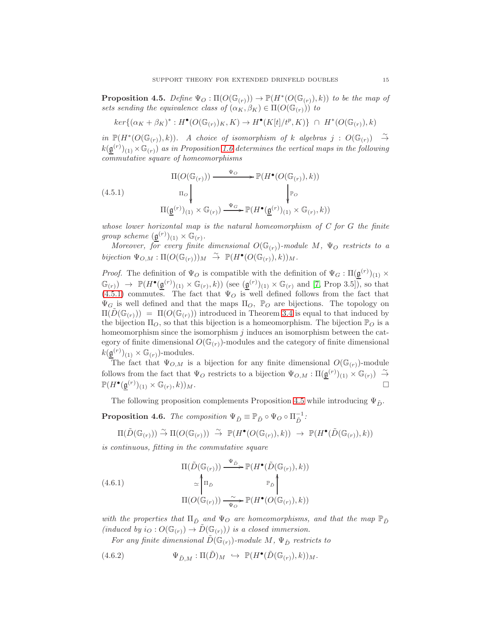<span id="page-14-2"></span>**Proposition 4.5.** *Define*  $\Psi_O : \Pi(O(\mathbb{G}_{(r)})) \to \mathbb{P}(H^*(O(\mathbb{G}_{(r)}), k))$  *to be the map of sets sending the equivalence class of*  $(\alpha_K, \beta_K) \in \Pi(O(\mathbb{G}_{(r)}))$  *to* 

$$
ker\{(\alpha_K + \beta_K)^* : H^{\bullet}(O(\mathbb{G}_{(r)})_K, K) \to H^{\bullet}(K[t]/t^p, K)\} \cap H^*(O(\mathbb{G}_{(r)}), k)
$$

*in*  $\mathbb{P}(H^*(O(\mathbb{G}_{(r)}), k))$ . A choice of isomorphism of k algebras  $j : O(\mathbb{G}_{(r)}) \rightarrow$  $k(\underline{\mathfrak{g}}^{(r)})_{(1)} \times \mathbb{G}_{(r)}$  *as in Proposition* [1.6](#page-4-1) determines the vertical maps in the following *commutative square of homeomorphisms*

<span id="page-14-1"></span>
$$
(4.5.1)
$$
\n
$$
\Pi(O(\mathbb{G}_{(r)})) \xrightarrow{\Psi_{O}} \mathbb{P}(H^{\bullet}(O(\mathbb{G}_{(r)}), k))
$$
\n
$$
\Pi_{O} \downarrow \qquad \qquad \downarrow_{\mathbb{P}_{O}} \qquad \qquad \downarrow_{\mathbb{P}_{O}}
$$
\n
$$
\Pi(\underline{\mathbf{g}}^{(r)})_{(1)} \times \mathbb{G}_{(r)}) \xrightarrow{\Psi_{G}} \mathbb{P}(H^{\bullet}(\underline{\mathbf{g}}^{(r)})_{(1)} \times \mathbb{G}_{(r)}, k))
$$

*whose lower horizontal map is the natural homeomorphism of C for* G *the finite group scheme*  $(\underline{\mathfrak{g}}^{(r)})_{(1)} \times \mathbb{G}_{(r)}$ .

*Moreover, for every finite dimensional*  $O(\mathbb{G}_{(r)})$ -module M,  $\Psi_O$  restricts to a *bijection*  $\Psi_{O,M} : \Pi(O(\mathbb{G}_{(r)}))_M \stackrel{\sim}{\rightarrow} \mathbb{P}(H^{\bullet}(O(\mathbb{G}_{(r)}), k))_M$ .

*Proof.* The definition of  $\Psi$ <sub>O</sub> is compatible with the definition of  $\Psi$ <sub>G</sub> :  $\Pi(\underline{\mathfrak{g}}^{(r)})_{(1)} \times$  $\mathbb{G}_{(r)} \to \mathbb{P}(H^{\bullet}(\underline{\mathfrak{g}}^{(r)})_{(1)} \times \mathbb{G}_{(r)}, k)$  (see  $(\underline{\mathfrak{g}}^{(r)})_{(1)} \times \mathbb{G}_{(r)}$  and [\[7,](#page-24-10) Prop 3.5]), so that  $(4.5.1)$  commutes. The fact that  $\Psi_{\mathcal{O}}$  is well defined follows from the fact that  $\Psi_G$  is well defined and that the maps  $\Pi_O$ ,  $\mathbb{P}_O$  are bijections. The topology on  $\Pi(D(\mathbb{G}_{(r)})) = \Pi(O(\mathbb{G}_{(r)}))$  introduced in Theorem [3.4](#page-10-0) is equal to that induced by the bijection  $\Pi_{\mathcal{O}}$ , so that this bijection is a homeomorphism. The bijection  $\mathbb{P}_{\mathcal{O}}$  is a homeomorphism since the isomorphism  $j$  induces an isomorphism between the category of finite dimensional  $O(\mathbb{G}_{(r)})$ -modules and the category of finite dimensional  $k(\underline{\mathfrak{g}}^{(r)})_{(1)} \times \mathbb{G}_{(r)}$ )-modules.

The fact that  $\Psi_{O,M}$  is a bijection for any finite dimensional  $O(\mathbb{G}_{(r)})$ -module follows from the fact that  $\Psi_O$  restricts to a bijection  $\Psi_{O,M} : \Pi(\underline{\mathfrak{g}}^{(r)})_{(1)} \times \mathbb{G}_{(r)}) \stackrel{\sim}{\to}$  $\mathbb{P}(H^{\bullet}(\underline{\mathfrak{g}}^{(r)})_{(1)} \times \mathbb{G}_{(r)}$  $(k)$ ) $_M$ .

The following proposition complements Proposition [4.5](#page-14-2) while introducing  $\Psi_{\tilde{D}}$ .

<span id="page-14-0"></span>**Proposition 4.6.** *The composition*  $\Psi_{\tilde{D}} \equiv \mathbb{P}_{\tilde{D}} \circ \Psi_{O} \circ \Pi_{\tilde{D}}^{-1}$ :

$$
\Pi(\tilde{D}(\mathbb G_{(r)})) \stackrel{\sim}{\to} \Pi(O(\mathbb G_{(r)})) \stackrel{\sim}{\to} \mathbb P(H^\bullet(O(\mathbb G_{(r)}),k)) \to \mathbb P(H^\bullet(\tilde{D}(\mathbb G_{(r)}),k))
$$

*is continuous, fitting in the commutative square*

<span id="page-14-3"></span>(4.6.1)  
\n
$$
\Pi(\tilde{D}(\mathbb{G}_{(r)})) \xrightarrow{\Psi_{\tilde{D}}} \mathbb{P}(H^{\bullet}(\tilde{D}(\mathbb{G}_{(r)}), k))
$$
\n
$$
\simeq \begin{pmatrix} \pi_{\tilde{D}} & \mathbb{P}_{\tilde{D}} \\ \Pi_{\tilde{D}} & \mathbb{P}_{\tilde{D}} \end{pmatrix}
$$
\n
$$
\Pi(O(\mathbb{G}_{(r)})) \xrightarrow{\sim} \mathbb{P}(H^{\bullet}(O(\mathbb{G}_{(r)}), k))
$$

*with the properties that*  $\Pi_{\tilde{D}}$  *and*  $\Psi_{O}$  *are homeomorphisms, and that the map*  $\mathbb{P}_{\tilde{D}}$  $(induced by i<sub>O</sub>: O(\mathbb{G}_{(r)}) \to \tilde{D}(\mathbb{G}_{(r)}))$  is a closed immersion.

*For any finite dimensional*  $D(\mathbb{G}_{(r)})$ *-module*  $M$ *,*  $\Psi_{\tilde{D}}$  *restricts to* 

(4.6.2) 
$$
\Psi_{\tilde{D},M} : \Pi(\tilde{D})_M \hookrightarrow \mathbb{P}(H^{\bullet}(\tilde{D}(\mathbb{G}_{(r)}),k))_M.
$$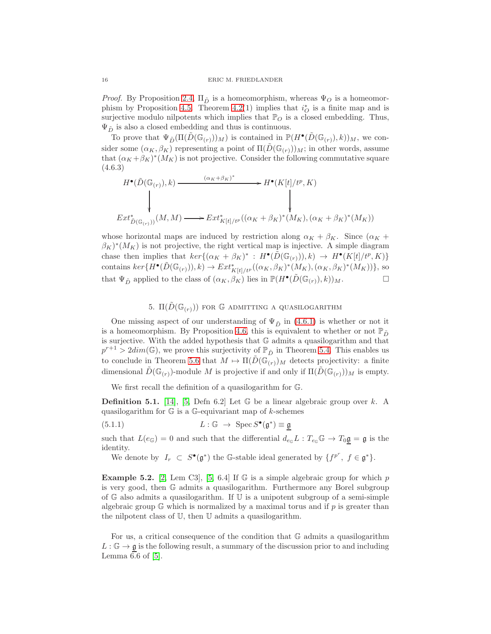*Proof.* By Proposition [2.4,](#page-6-1)  $\Pi_{\tilde{D}}$  is a homeomorphism, whereas  $\Psi_{O}$  is a homeomor-phism by Proposition [4.5.](#page-14-2) Theorem [4.2\(](#page-12-1)1) implies that  $i_{\mathcal{O}}^*$  is a finite map and is surjective modulo nilpotents which implies that  $\mathbb{P}_O$  is a closed embedding. Thus,  $\Psi_{\tilde{D}}$  is also a closed embedding and thus is continuous.

To prove that  $\Psi_{\tilde{D}}(\Pi(\tilde{D}(\mathbb{G}_{(r)}))_M)$  is contained in  $\mathbb{P}(H^{\bullet}(\tilde{D}(\mathbb{G}_{(r)}), k))_M$ , we consider some  $(\alpha_K, \beta_K)$  representing a point of  $\Pi(D(\mathbb{G}_{(r)}))_M$ ; in other words, assume that  $(\alpha_K + \beta_K)^*(M_K)$  is not projective. Consider the following commutative square (4.6.3)

$$
H^{\bullet}(\tilde{D}(\mathbb{G}_{(r)}), k) \longrightarrow H^{\bullet}(K[t]/t^p, K)
$$
\n
$$
Ext^*_{\tilde{D}(\mathbb{G}_{(r)}))}(M, M) \longrightarrow Ext^*_{K[t]/t^p}((\alpha_K + \beta_K)^*(M_K), (\alpha_K + \beta_K)^*(M_K))
$$

whose horizontal maps are induced by restriction along  $\alpha_K + \beta_K$ . Since  $(\alpha_K +$  $(\beta_K)^*(M_K)$  is not projective, the right vertical map is injective. A simple diagram chase then implies that  $ker\{(\alpha_K + \beta_K)^* : H^{\bullet}(\tilde{D}(\mathbb{G}_{(r)})), k) \to H^{\bullet}(K[t]/t^p, K)\}\$ contains  $ker\{H^{\bullet}(\tilde{D}(\mathbb{G}_{(r)})),k) \to Ext_{K[t]/t^p}^*((\alpha_K, \beta_K)^*(M_K), (\alpha_K, \beta_K)^*(M_K))\},$  so that  $\Psi_{\tilde{D}}$  applied to the class of  $(\alpha_K, \beta_K)$  lies in  $\mathbb{P}(H^{\bullet}(\tilde{D}(\mathbb{G}_{(r)}), k))_M$ .

# 5.  $\Pi(\tilde{D}(\mathbb{G}_{(r)}))$  for G admitting a quasilogarithm

<span id="page-15-1"></span>One missing aspect of our understanding of  $\Psi_{\tilde{D}}$  in [\(4.6.1\)](#page-14-3) is whether or not it is a homeomorphism. By Proposition [4.6,](#page-14-0) this is equivalent to whether or not  $\mathbb{P}_{\tilde{D}}$ is surjective. With the added hypothesis that G admits a quasilogarithm and that  $p^{r+1} > 2dim(\mathbb{G})$ , we prove this surjectivity of  $\mathbb{P}_{\tilde{D}}$  in Theorem [5.4.](#page-16-0) This enables us to conclude in Theorem [5.6](#page-17-0) that  $M \mapsto \Pi(D(\mathbb{G}_{(r)})_M$  detects projectivity: a finite dimensional  $D(\mathbb{G}_{(r)})$ -module M is projective if and only if  $\Pi(D(\mathbb{G}_{(r)}))_M$  is empty.

We first recall the definition of a quasilogarithm for G.

**Definition 5.1.** [\[14\]](#page-24-14), [\[5,](#page-24-5) Defn 6.2] Let  $\mathbb{G}$  be a linear algebraic group over k. A quasilogarithm for  $\mathbb{G}$  is a G-equivariant map of k-schemes

(5.1.1) 
$$
L: \mathbb{G} \to \operatorname{Spec} S^{\bullet}(\mathfrak{g}^*) \equiv \mathfrak{g}
$$

such that  $L(e_{\mathbb{G}}) = 0$  and such that the differential  $d_{e_{\mathbb{G}}}L : T_{e_{\mathbb{G}}} \mathbb{G} \to T_0 \mathfrak{g} = \mathfrak{g}$  is the identity.

We denote by  $I_r \subset S^{\bullet}(\mathfrak{g}^*)$  the G-stable ideal generated by  $\{f^{p^r}, f \in \mathfrak{g}^*\}.$ 

<span id="page-15-0"></span>**Example 5.2.** [\[2,](#page-23-2) Lem C3], [\[5,](#page-24-5) 6.4] If  $\mathbb{G}$  is a simple algebraic group for which p is very good, then G admits a quasilogarithm. Furthermore any Borel subgroup of  $\mathbb{G}$  also admits a quasilogarithm. If  $\mathbb{U}$  is a unipotent subgroup of a semi-simple algebraic group  $\mathbb{G}$  which is normalized by a maximal torus and if p is greater than the nilpotent class of U, then U admits a quasilogarithm.

For us, a critical consequence of the condition that G admits a quasilogarithm  $L : \mathbb{G} \to \mathfrak{g}$  is the following result, a summary of the discussion prior to and including Lemma  $6.6$  of  $[5]$ .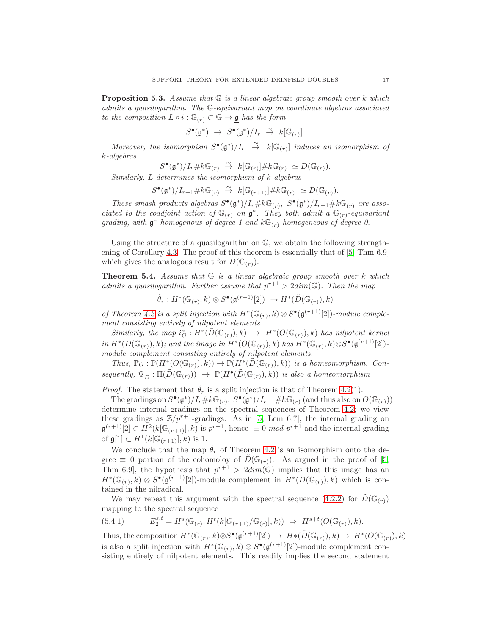Proposition 5.3. *Assume that* G *is a linear algebraic group smooth over* k *which admits a quasilogarithm. The* G*-equivariant map on coordinate algebras associated to the composition*  $L \circ i : \mathbb{G}_{(r)} \subset \mathbb{G} \to \mathfrak{g}$  *has the form* 

$$
S^{\bullet}(\mathfrak{g}^*) \rightarrow S^{\bullet}(\mathfrak{g}^*)/I_r \stackrel{\sim}{\rightarrow} k[\mathbb{G}_{(r)}].
$$

*Moreover, the isomorphism*  $S^{\bullet}(\mathfrak{g}^*)/I_r \rightarrow k[\mathbb{G}_{(r)}]$  *induces an isomorphism of* k*-algebras*

$$
S^{\bullet}(\mathfrak{g}^*)/I_r \# k \mathbb{G}_{(r)} \stackrel{\sim}{\to} k[\mathbb{G}_{(r)}] \# k \mathbb{G}_{(r)} \simeq D(\mathbb{G}_{(r)}).
$$

*Similarly,* L *determines the isomorphism of* k*-algebras*

$$
S^{\bullet}(\mathfrak{g}^*)/I_{r+1} \# k \mathbb{G}_{(r)} \overset{\sim}{\to} k[\mathbb{G}_{(r+1)}] \# k \mathbb{G}_{(r)} \simeq \tilde{D}(\mathbb{G}_{(r)}).
$$

*These smash products algebras*  $S^{\bullet}(\mathfrak{g}^*)/I_r \# k\mathbb{G}_{(r)}, S^{\bullet}(\mathfrak{g}^*)/I_{r+1} \# k\mathbb{G}_{(r)}$  are asso*ciated to the coadjoint action of*  $\mathbb{G}_{(r)}$  *on*  $\mathfrak{g}^*$ *. They both admit a*  $\mathbb{G}_{(r)}$ *-equivariant* grading, with  $\mathfrak{g}^*$  *homogenous of degree 1 and*  $k\mathbb{G}_{(r)}$  *homogeneous of degree 0.* 

Using the structure of a quasilogarithm on  $\mathbb{G}$ , we obtain the following strengthening of Corollary [4.3.](#page-13-0) The proof of this theorem is essentially that of [\[5,](#page-24-5) Thm 6.9] which gives the analogous result for  $D(\mathbb{G}_{r})$ .

<span id="page-16-0"></span>Theorem 5.4. *Assume that* G *is a linear algebraic group smooth over* k *which admits a quasilogarithm. Further assume that*  $p^{r+1} > 2dim(\mathbb{G})$ *. Then the map* 

$$
\tilde{\theta}_r: H^*(\mathbb{G}_{(r)}, k) \otimes S^{\bullet}(\mathfrak{g}^{(r+1)}[2]) \rightarrow H^*(\tilde{D}(\mathbb{G}_{(r)}), k)
$$

*of Theorem [4.2](#page-12-1) is a split injection with*  $H^*(\mathbb{G}_{(r)}, k) \otimes S^{\bullet}(\mathfrak{g}^{(r+1)}[2])$ *-module complement consisting entirely of nilpotent elements.*

 $Similarly, the map  $i^*_{\mathcal{O}}: H^*(\tilde{D}(\mathbb{G}_{(r)}), k) \to H^*(O(\mathbb{G}_{(r)}), k)$  has nilpotent kernel$ *in*  $H^*(\tilde{D}(\mathbb{G}_{(r)}), k)$ *; and the image in*  $H^*(O(\mathbb{G}_{(r)}), k)$  *has*  $H^*(\mathbb{G}_{(r)}, k) \otimes S^{\bullet}(\mathfrak{g}^{(r+1)}[2])$ *module complement consisting entirely of nilpotent elements.*

Thus,  $\mathbb{P}_O : \mathbb{P}(H^*(O(\mathbb{G}_{(r)}), k)) \to \mathbb{P}(H^*(\tilde{D}(\mathbb{G}_{(r)}), k))$  *is a homeomorphism. Con-* $\textit{sequently}, \Psi_{\tilde{D}} : \Pi(\tilde{D}(\mathbb{G}_{(r)})) \rightarrow \mathbb{P}(H^{\bullet}(\tilde{D}(\mathbb{G}_{(r)}), k)) \textit{ is also a homeomorphism}$ 

*Proof.* The statement that  $\tilde{\theta}_r$  is a split injection is that of Theorem [4.2\(](#page-12-1)1).

The gradings on  $S^{\bullet}(\mathfrak{g}^*)/I_r\#k\mathbb{G}_{(r)}, S^{\bullet}(\mathfrak{g}^*)/I_{r+1}\#k\mathbb{G}_{(r)}$  (and thus also on  $O(\mathbb{G}_{(r)}))$ determine internal gradings on the spectral sequences of Theorem [4.2;](#page-12-1) we view these gradings as  $\mathbb{Z}/p^{r+1}$ -gradings. As in [\[5,](#page-24-5) Lem 6.7], the internal grading on  $\mathfrak{g}^{(r+1)}[2] \subset H^2(k[\mathbb{G}_{(r+1)}], k)$  is  $p^{r+1}$ , hence  $\equiv 0 \mod p^{r+1}$  and the internal grading of  $\mathfrak{g}[1] \subset H^1(k[\mathbb{G}_{(r+1)}], k)$  is 1.

We conclude that the map  $\hat{\theta}_r$  of Theorem [4.2](#page-12-1) is an isomorphism onto the degree  $\equiv$  0 portion of the cohomoloy of  $\tilde{D}(\mathbb{G}_{(r)})$ . As argued in the proof of [\[5,](#page-24-5) Thm 6.9, the hypothesis that  $p^{r+1} > 2dim(\mathbb{G})$  implies that this image has an  $H^*(\mathbb{G}_{(r)},k)\otimes S^{\bullet}(\mathfrak{g}^{(r+1)}[2])$ -module complement in  $H^*(\tilde{D}(\mathbb{G}_{(r)}),k)$  which is contained in the nilradical.

We may repeat this argument with the spectral sequence [\(4.2.2\)](#page-12-0) for  $\tilde{D}(\mathbb{G}_{(r)})$ mapping to the spectral sequence

<span id="page-16-1"></span>
$$
(5.4.1) \tE_2^{s,t} = H^s(\mathbb{G}_{(r)}, H^t(k[G_{(r+1)}/\mathbb{G}_{(r)}], k)) \Rightarrow H^{s+t}(O(\mathbb{G}_{(r)}), k).
$$

Thus, the composition  $H^*(\mathbb{G}_{(r)}, k) \otimes S^{\bullet}(\mathfrak{g}^{(r+1)}[2]) \to H^*(\tilde{D}(\mathbb{G}_{(r)}), k) \to H^*(O(\mathbb{G}_{(r)}), k)$ is also a split injection with  $H^*(\mathbb{G}_{(r)}, k) \otimes S^{\bullet}(\mathfrak{g}^{(r+1)}[2])$ -module complement consisting entirely of nilpotent elements. This readily implies the second statement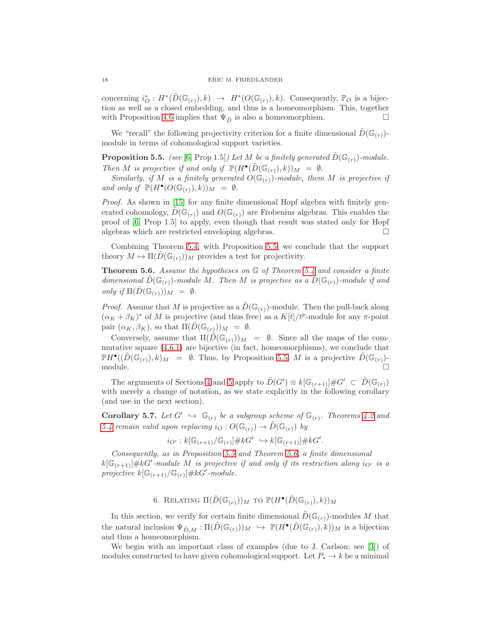concerning  $i_O^*: H^*(\tilde{D}(\mathbb{G}_{(r)}), k) \to H^*(O(\mathbb{G}_{(r)}), k)$ . Consequently,  $\mathbb{P}_O$  is a bijection as well as a closed embedding, and thus is a homeomorphism. This, together with Proposition [4.6](#page-14-0) implies that  $\Psi_{\tilde{D}}$  is also a homeomorphism.

We "recall" the following projectivity criterion for a finite dimensional  $\hat{D}(\mathbb{G}_{(r)})$ module in terms of cohomological support varieties.

<span id="page-17-2"></span>**Proposition 5.5.** *(see* [\[6,](#page-24-2) Prop 1.5]*)* Let M be a finitely generated  $D(\mathbb{G}_{(r)})$ -module. *Then M is projective if and only if*  $\mathbb{P}(H^{\bullet}(\tilde{D}(\mathbb{G}_{(r)}), k))_M = \emptyset$ .

*Similarly, if M is a finitely generated*  $O(\mathbb{G}_{(r)})$ *-module, them M is projective if and only if*  $\mathbb{P}(H^{\bullet}(O(\mathbb{G}_{(r)}), k))_M = \emptyset$ .

*Proof.* As shown in [\[15\]](#page-24-15) for any finite dimensional Hopf algebra with finitely generated cohomology,  $D(\mathbb{G}_{(r)})$  and  $O(\mathbb{G}_{(r)})$  are Frobenius algebras. This enables the proof of [\[6,](#page-24-2) Prop 1.5] to apply, even though that result was stated only for Hopf algebras which are restricted enveloping algebras.

Combining Theorem [5.4,](#page-16-0) with Proposition [5.5,](#page-17-2) we conclude that the support theory  $M \mapsto \Pi(D(\mathbb{G}_{(r)}))_M$  provides a test for projectivity.

<span id="page-17-0"></span>Theorem 5.6. *Assume the hypotheses on* G *of Theorem [5.4](#page-16-0) and consider a finite dimensional*  $D(\mathbb{G}_{(r)})$ -module M. Then M *is projective as a*  $D(\mathbb{G}_{(r)})$ -module if and *only if*  $\Pi(\tilde{D}(\mathbb{G}_{(r)}))_M = \emptyset$ .

*Proof.* Assume that M is projective as a  $\tilde{D}(\mathbb{G}_{(r)})$ -module. Then the pull-back along  $(\alpha_K + \beta_K)^*$  of M is projective (and thus free) as a  $K[t]/t^p$ -module for any  $\pi$ -point pair  $(\alpha_K, \beta_K)$ , so that  $\Pi(D(\mathbb{G}_{(r)}))_M = \emptyset$ .

Conversely, assume that  $\Pi(D(\mathbb{G}_{(r)}))_M = \emptyset$ . Since all the maps of the commutative square [\(4.6.1\)](#page-14-3) are bijective (in fact, homeomorphisms), we conclude that  $\mathbb{P}H^{\bullet}((\tilde{D}(\mathbb{G}_{(r)}),k)_M = \emptyset$ . Thus, by Proposition [5.5,](#page-17-2) M is a projective  $\tilde{D}(\mathbb{G}_{(r)})$ module.

The arguments of Sections [4](#page-11-0) and [5](#page-15-1) apply to  $\tilde{D}(G') \equiv k[\mathbb{G}_{(r+1)}] \# G' \subset \tilde{D}(\mathbb{G}_{(r)})$ with merely a change of notation, as we state explicitly in the following corollary (and use in the next section).

<span id="page-17-3"></span>**Corollary 5.7.** Let  $G' \hookrightarrow \mathbb{G}_{(r)}$  be a subgroup scheme of  $\mathbb{G}_{(r)}$ . Theorems [4.2](#page-12-1) and *[5.4](#page-16-0)* remain valid upon replacing  $i_O: O(\mathbb{G}_{(r)}) \to \tilde{D}(\mathbb{G}_{(r)})$  by

$$
i_{O'}: k[\mathbb{G}_{(r+1)}/\mathbb{G}_{(r)}] \# kG' \hookrightarrow k[\mathbb{G}_{(r+1)}] \# kG'.
$$

*Consequently, as in Proposition [5.5](#page-17-2) and Theorem [5.6,](#page-17-0) a finite dimensional*  $k[\mathbb{G}_{(r+1)}] \# kG'$ -module M is projective if and only if its restriction along  $i_{O'}$  is a *projective*  $k[\mathbb{G}_{(r+1)}/\mathbb{G}_{(r)}]$ #kG'-module.

6. RELATING  $\Pi(\tilde D(\mathbb G_{(r)}))_M$  to  $\mathbb P(H^\bullet(\tilde D(\mathbb G_{(r)}),k))_M$ 

<span id="page-17-1"></span>In this section, we verify for certain finite dimensional  $\tilde{D}(\mathbb{G}_{(r)})$ -modules M that the natural inclusion  $\Psi_{\tilde{D},M} : \Pi(\tilde{D}(\mathbb{G}_{(r)}))_M \hookrightarrow \mathbb{P}(H^{\bullet}(\tilde{D}(\mathbb{G}_{(r)}),k))_M$  is a bijection and thus a homeomorphism.

We begin with an important class of examples (due to J. Carlson; see [\[3\]](#page-23-0)) of modules constructed to have given cohomological support. Let  $P_* \to k$  be a minimal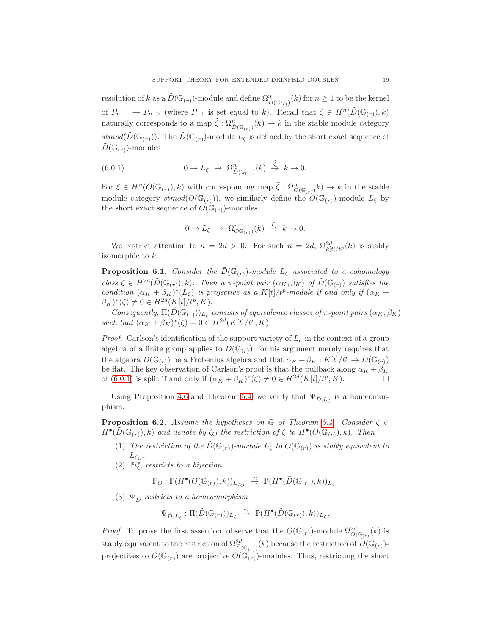resolution of k as a  $\tilde{D}(\mathbb{G}_{(r)})$ -module and define  $\Omega_{\tilde{D}(\mathbb{G}_{(r)})}^n(k)$  for  $n \geq 1$  to be the kernel of  $P_{n-1} \to P_{n-2}$  (where  $P_{-1}$  is set equal to k). Recall that  $\zeta \in H^n(\tilde{D}(\mathbb{G}_{(r)}), k)$ naturally corresponds to a map  $\tilde{\zeta}: \Omega^n_{\tilde{D}(\mathbb{G}_{(r)})}(k) \to k$  in the stable module category stmod( $\tilde{D}(\mathbb{G}_{(r)})$ ). The  $\tilde{D}(\mathbb{G}_{(r)})$ -module  $L_{\zeta}$  is defined by the short exact sequence of  $D(\mathbb{G}_{(r)})$ -modules

(6.0.1) 
$$
0 \to L_{\zeta} \to \Omega_{\tilde{D}(\mathbb{G}_{(r)})}^n(k) \stackrel{\tilde{\zeta}}{\to} k \to 0.
$$

For  $\xi \in H^n(\mathcal{O}(\mathbb{G}_{(r)}), k)$  with corresponding map  $\tilde{\zeta}: \Omega^n_{\mathcal{O}(\mathbb{G}_{(r)})} k \to k$  in the stable module category  $stmod(O(\mathbb{G}_{(r)}))$ , we similarly define the  $O(\mathbb{G}_{(r)})$ -module  $L_{\xi}$  by the short exact sequence of  $O(\mathbb{G}_{(r)})$ -modules

<span id="page-18-0"></span>
$$
0 \to L_{\xi} \to \Omega_{O_{\mathbb{G}_{(r)}}}^n(k) \stackrel{\tilde{\xi}}{\to} k \to 0.
$$

We restrict attention to  $n = 2d > 0$ . For such  $n = 2d$ ,  $\Omega_{k[t]/t^p}^{2d}(k)$  is stably isomorphic to k.

<span id="page-18-1"></span>**Proposition 6.1.** *Consider the*  $\tilde{D}(\mathbb{G}_{(r)})$ *-module*  $L_{\zeta}$  *associated to a cohomology*  $class \zeta \in H^{2d}(\tilde{D}(\mathbb{G}_{(r)}), k)$ *. Then a*  $\pi$ -point pair  $(\alpha_K, \beta_K)$  of  $\tilde{D}(\mathbb{G}_{(r)})$  satisfies the *condition*  $(\alpha_K + \beta_K)^*(L_{\zeta})$  *is projective as a* K[t]/t<sup>p</sup>-module if and only if  $(\alpha_K +$  $(\beta_K)^*(\zeta) \neq 0 \in H^{2d}(K[t]/t^p, K).$ 

*Consequently,*  $\Pi(\tilde{D}(\mathbb{G}_{(r)}))_{L_{\zeta}}$  consists of equivalence classes of  $\pi$ -point pairs  $(\alpha_K, \beta_K)$ such that  $(\alpha_K + \beta_K)^*(\zeta) = 0 \in H^{2d}(K[t]/t^p, K)$ .

*Proof.* Carlson's identification of the support variety of  $L_{\zeta}$  in the context of a group algebra of a finite group applies to  $\tilde{D}(\mathbb{G}_{(r)})$ , for his argument merely requires that the algebra  $D(\mathbb{G}_{(r)})$  be a Frobenius algebra and that  $\alpha_K + \beta_K : K[t]/t^p \to D(\mathbb{G}_{(r)})$ be flat. The key observation of Carlson's proof is that the pullback along  $\alpha_K + \beta_K$ of [\(6.0.1\)](#page-18-0) is split if and only if  $(\alpha_K + \beta_K)^*(\zeta) \neq 0 \in H^{2d}(K[t]/t^p, K)$ .

Using Proposition [4.6](#page-14-0) and Theorem [5.4,](#page-16-0) we verify that  $\Psi_{\tilde{D},L_{\zeta}}$  is a homeomorphism.

<span id="page-18-2"></span>**Proposition 6.2.** *Assume the hypotheses on*  $\mathbb{G}$  *of Theorem [5.4.](#page-16-0) Consider*  $\zeta \in$  $H^{\bullet}(\tilde{D}(\mathbb{G}_{(r)}), k)$  and denote by  $\zeta_{O}$  the restriction of  $\zeta$  to  $H^{\bullet}(O(\mathbb{G}_{(r)}), k)$ . Then

- (1) *The restriction of the*  $\tilde{D}(\mathbb{G}_{(r)})$ *-module*  $L_{\zeta}$  *to*  $O(\mathbb{G}_{(r)})$  *is stably equivalent to*  $L_{\zeta_O}$ .
- $(2)$   $\mathbb{P}i_{O}^{*}$  restricts to a bijection

 $\mathbb{P}_O : \mathbb{P}(H^{\bullet}(O(\mathbb{G}_{(r)}), k))_{L_{\zeta_{O}}} \overset{\sim}{\to} \mathbb{P}(H^{\bullet}(\tilde{D}(\mathbb{G}_{(r)}), k))_{L_{\zeta}}.$ 

(3)  $\Psi_{\tilde{D}}$  *restricts to a homeomorphism* 

$$
\Psi_{\tilde{D},L_{\zeta}}: \Pi(\tilde{D}(\mathbb{G}_{(r)}))_{L_{\zeta}} \stackrel{\sim}{\to} \mathbb{P}(H^{\bullet}(\tilde{D}(\mathbb{G}_{(r)}),k))_{L_{\zeta}}.
$$

*Proof.* To prove the first assertion, observe that the  $O(\mathbb{G}_{(r)})$ -module  $\Omega^{2d}_{O(\mathbb{G}_{(r)}}(k)$  is stably equivalent to the restriction of  $\Omega^2_{\tilde{D}(\mathbb{G}_{(r)})}(k)$  because the restriction of  $\tilde{D}(\mathbb{G}_{(r)})$ projectives to  $O(\mathbb{G}_{(r)})$  are projective  $O(\mathbb{G}_{(r)})$ -modules. Thus, restricting the short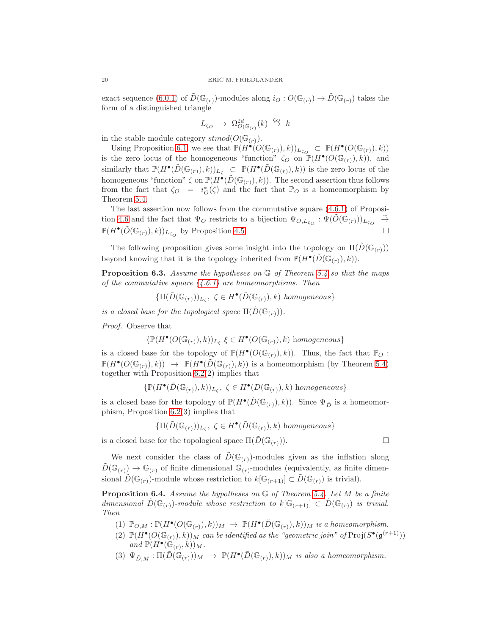exact sequence [\(6.0.1\)](#page-18-0) of  $\tilde{D}(\mathbb{G}_{(r)})$ -modules along  $i_Q:O(\mathbb{G}_{(r)})\to \tilde{D}(\mathbb{G}_{(r)})$  takes the form of a distinguished triangle

$$
L_{\zeta_O} \ \to \ \Omega^{2d}_{O(\mathbb{G}_{(r)}}(k) \ \stackrel{\zeta_Q}{\to} \ k
$$

in the stable module category  $stmod(O(\mathbb{G}_{(r)})).$ 

Using Proposition [6.1,](#page-18-1) we see that  $\mathbb{P}(H^{\bullet}(O(\mathbb{G}_{(r)}), k))_{L_{\zeta_{O}}} \subset \mathbb{P}(H^{\bullet}(O(\mathbb{G}_{(r)}), k))$ is the zero locus of the homogeneous "function"  $\zeta_O$  on  $\mathbb{P}(H^{\bullet}(O(\mathbb{G}_{(r)}),k))$ , and similarly that  $\mathbb{P}(H^{\bullet}(\tilde{D}(\mathbb{G}_{(r)}),k))_{L_{\zeta}} \subset \mathbb{P}(H^{\bullet}(\tilde{D}(\mathbb{G}_{(r)}),k))$  is the zero locus of the homogeneous "function"  $\zeta$  on  $\mathbb{P}(H^{\bullet}(\tilde{D}(\mathbb{G}_{(r)}), k))$ . The second assertion thus follows from the fact that  $\zeta_O = i_O^*(\zeta)$  and the fact that  $\mathbb{P}_O$  is a homeomorphism by Theorem [5.4.](#page-16-0)

The last assertion now follows from the commutative square [\(4.6.1\)](#page-14-3) of Proposi-tion [4.6](#page-14-0) and the fact that  $\Psi_O$  restricts to a bijection  $\Psi_{O,L_{\zeta_O}}: \Psi(\tilde{O}(\mathbb{G}_{(r)}))_{L_{\zeta_O}}$ ∼→  $\mathbb{P}(H^{\bullet}(\tilde{O}(\mathbb{G}_{(r)}), k))_{L_{\zeta_{O}}}$  by Proposition [4.5.](#page-14-2)

The following proposition gives some insight into the topology on  $\Pi(D(\mathbb{G}_{(r)}))$ beyond knowing that it is the topology inherited from  $\mathbb{P}(H^{\bullet}(\tilde{D}(\mathbb{G}_{(r)}), k)).$ 

Proposition 6.3. *Assume the hypotheses on* G *of Theorem [5.4](#page-16-0) so that the maps of the commutative square [\(4.6.1\)](#page-14-3) are homeomorphisms. Then*

 $\{\Pi(\tilde{D}(\mathbb{G}_{(r)}))_{L_{\zeta}}, \zeta \in H^{\bullet}(\tilde{D}(\mathbb{G}_{(r)}), k) \text{ homogeneous}\}\$ 

*is a closed base for the topological space*  $\Pi(\tilde{D}(\mathbb{G}_{(r)}))$ .

*Proof.* Observe that

$$
\{\mathbb{P}(H^{\bullet}(O(\mathbb{G}_{(r)}), k))_{L_{\xi}} \xi \in H^{\bullet}(O(\mathbb{G}_{(r)}), k) \text{ homogeneous}\}\
$$

is a closed base for the topology of  $\mathbb{P}(H^{\bullet}(O(\mathbb{G}_{(r)}), k))$ . Thus, the fact that  $\mathbb{P}_O$ :  $\mathbb{P}(H^{\bullet}(O(\mathbb{G}_{(r)}),k)) \rightarrow \mathbb{P}(H^{\bullet}(\tilde{D}(\mathbb{G}_{(r)}),k))$  is a homeomorphism (by Theorem [5.4\)](#page-16-0) together with Proposition [6.2\(](#page-18-2)2) implies that

$$
\{\mathbb{P}(H^{\bullet}(\tilde{D}(\mathbb{G}_{(r)}), k))_{L_{\zeta}}, \ \zeta \in H^{\bullet}(D(\mathbb{G}_{(r)}), k) \ \text{homogeneous}\}
$$

is a closed base for the topology of  $\mathbb{P}(H^{\bullet}(\tilde{D}(\mathbb{G}_{(r)}), k))$ . Since  $\Psi_{\tilde{D}}$  is a homeomorphism, Proposition [6.2\(](#page-18-2)3) implies that

$$
\{\Pi(\tilde{D}(\mathbb{G}_{(r)}))_{L_{\zeta}}, \ \zeta \in H^{\bullet}(\tilde{D}(\mathbb{G}_{(r)}), k) \ \text{homogeneous}\}\
$$

is a closed base for the topological space  $\Pi(D(\mathbb{G}_{(r)})).$ 

We next consider the class of  $\tilde{D}(\mathbb{G}_{(r)})$ -modules given as the inflation along  $\tilde{D}(\mathbb{G}_{(r)}) \to \mathbb{G}_{(r)}$  of finite dimensional  $\mathbb{G}_{(r)}$ -modules (equivalently, as finite dimensional  $D(\mathbb{G}_{(r)})$ -module whose restriction to  $k[\mathbb{G}_{(r+1)}] \subset \tilde{D}(\mathbb{G}_{(r)})$  is trivial).

Proposition 6.4. *Assume the hypotheses on* G *of Theorem [5.4.](#page-16-0) Let* M *be a finite dimensional*  $D(\mathbb{G}_{(r)})$ *-module whose restriction to*  $k[\mathbb{G}_{(r+1)}] \subset D(\mathbb{G}_{(r)})$  *is trivial. Then*

- $(1)$   $\mathbb{P}_{O,M} : \mathbb{P}(H^{\bullet}(O(\mathbb{G}_{(r)}),k))_M \rightarrow \mathbb{P}(H^{\bullet}(\tilde{D}(\mathbb{G}_{(r)}),k))_M$  *is a homeomorphism.*
- (2)  $\mathbb{P}(H^{\bullet}(O(\mathbb{G}_{(r)}), k))_M$  *can be identified as the "geometric join" of*  $\text{Proj}(S^{\bullet}(\mathfrak{g}^{(r+1)}))$ and  $\mathbb{P}(H^{\bullet}(\mathbb{G}_r,k))_M$ .
- $(3) \Psi_{\tilde{D},M}: \Pi(\tilde{D}(\mathbb{G}_{(r)}))_M \to \mathbb{P}(H^{\bullet}(\tilde{D}(\mathbb{G}_{(r)}),k))_M$  *is also a homeomorphism.*

$$
\sqcup
$$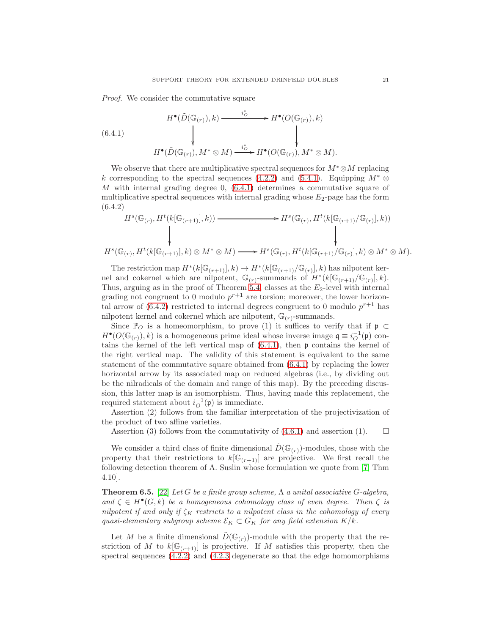*Proof.* We consider the commutative square

<span id="page-20-0"></span>
$$
(6.4.1)
$$
\n
$$
H^{\bullet}(\tilde{D}(\mathbb{G}_{(r)}), k) \xrightarrow{\qquad i_{\tilde{O}}^*} H^{\bullet}(O(\mathbb{G}_{(r)}), k)
$$
\n
$$
H^{\bullet}(\tilde{D}(\mathbb{G}_{(r)}), M^* \otimes M) \xrightarrow{\qquad i_{\tilde{O}}^*} H^{\bullet}(O(\mathbb{G}_{(r)}), M^* \otimes M).
$$

We observe that there are multiplicative spectral sequences for  $M^* \otimes M$  replacing k corresponding to the spectral sequences [\(4.2.2\)](#page-12-0) and [\(5.4.1\)](#page-16-1). Equipping  $M^* \otimes$ M with internal grading degree 0,  $(6.4.1)$  determines a commutative square of multiplicative spectral sequences with internal grading whose  $E_2$ -page has the form (6.4.2)

<span id="page-20-1"></span>
$$
H^{s}(\mathbb{G}_{(r)}, H^{t}(k[\mathbb{G}_{(r+1)}], k)) \longrightarrow H^{s}(\mathbb{G}_{(r)}, H^{t}(k[\mathbb{G}_{(r+1)}/\mathbb{G}_{(r)}], k))
$$
\n
$$
\downarrow \qquad \qquad \downarrow
$$
\n
$$
H^{s}(\mathbb{G}_{(r)}, H^{t}(k[\mathbb{G}_{(r+1)}], k) \otimes M^{*} \otimes M) \longrightarrow H^{s}(\mathbb{G}_{(r)}, H^{t}(k[\mathbb{G}_{(r+1)}/\mathbb{G}_{(r)}], k) \otimes M^{*} \otimes M).
$$

The restriction map  $H^*(k[\mathbb{G}_{(r+1)}], k) \to H^*(k[\mathbb{G}_{(r+1)}/\mathbb{G}_{(r)}], k)$  has nilpotent kernel and cokernel which are nilpotent,  $\mathbb{G}_{(r)}$ -summands of  $H^*(k[\mathbb{G}_{(r+1)}/\mathbb{G}_{(r)}], k)$ . Thus, arguing as in the proof of Theorem [5.4,](#page-16-0) classes at the  $E_2$ -level with internal grading not congruent to 0 modulo  $p^{r+1}$  are torsion; moreover, the lower horizontal arrow of  $(6.4.2)$  restricted to internal degrees congruent to 0 modulo  $p^{r+1}$  has nilpotent kernel and cokernel which are nilpotent,  $\mathbb{G}_{(r)}$ -summands.

Since  $\mathbb{P}_O$  is a homeomorphism, to prove (1) it suffices to verify that if  $\mathfrak{p} \subset$  $H^{\bullet}(O(\mathbb{G}_{(r)}), k)$  is a homogeneous prime ideal whose inverse image  $\mathfrak{q} \equiv i_{O}^{-1}(\mathfrak{p})$  contains the kernel of the left vertical map of  $(6.4.1)$ , then  $\mathfrak p$  contains the kernel of the right vertical map. The validity of this statement is equivalent to the same statement of the commutative square obtained from [\(6.4.1\)](#page-20-0) by replacing the lower horizontal arrow by its associated map on reduced algebras (i.e., by dividing out be the nilradicals of the domain and range of this map). By the preceding discussion, this latter map is an isomorphism. Thus, having made this replacement, the required statement about  $i_O^{-1}(\mathfrak{p})$  is immediate.

Assertion (2) follows from the familiar interpretation of the projectivization of the product of two affine varieties.

Assertion (3) follows from the commutativity of [\(4.6.1\)](#page-14-3) and assertion (1).  $\Box$ 

We consider a third class of finite dimensional  $\tilde{D}(\mathbb{G}_{(r)})$ -modules, those with the property that their restrictions to  $k[\mathbb{G}_{(r+1)}]$  are projective. We first recall the following detection theorem of A. Suslin whose formulation we quote from [\[7,](#page-24-10) Thm 4.10].

<span id="page-20-2"></span>Theorem 6.5. [\[22\]](#page-24-16) *Let* G *be a finite group scheme,* Λ *a unital associative* G*-algebra,* and  $\zeta \in H^{\bullet}(G, k)$  *be a homogeneous cohomology class of even degree. Then*  $\zeta$  *is nilpotent if and only if*  $\zeta_K$  *restricts to a nilpotent class in the cohomology of every quasi-elementary subgroup scheme*  $\mathcal{E}_K \subset G_K$  *for any field extension*  $K/k$ .

Let M be a finite dimensional  $\tilde{D}(\mathbb{G}_{(r)})$ -module with the property that the restriction of M to  $k[\mathbb{G}_{(r+1)}]$  is projective. If M satisfies this property, then the spectral sequences [\(4.2.2\)](#page-12-0) and [\(4.2.3](#page-13-1) degenerate so that the edge homomorphisms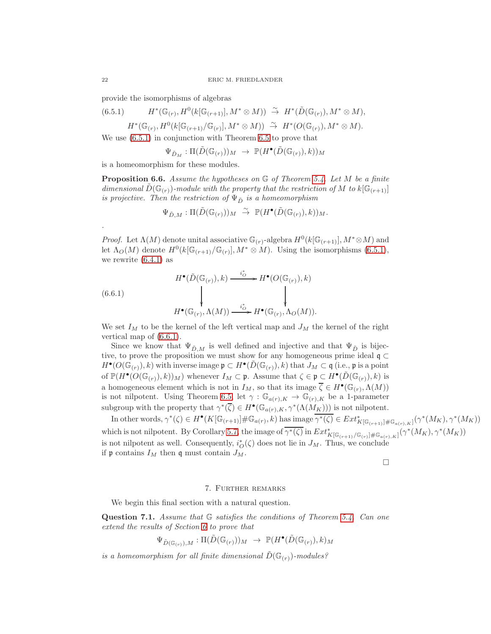provide the isomorphisms of algebras

(6.5.1) 
$$
H^*(\mathbb{G}_{(r)}, H^0(k[\mathbb{G}_{(r+1)}], M^*\otimes M)) \stackrel{\sim}{\to} H^*(\tilde{D}(\mathbb{G}_{(r)}), M^*\otimes M),
$$

<span id="page-21-1"></span> $H^*(\mathbb{G}_{(r)}, H^0(k[\mathbb{G}_{(r+1)}/\mathbb{G}_{(r)}], M^* \otimes M)) \stackrel{\sim}{\rightarrow} H^*(O(\mathbb{G}_{(r)}), M^* \otimes M).$ 

We use [\(6.5.1\)](#page-21-1) in conjunction with Theorem [6.5](#page-20-2) to prove that

$$
\Psi_{\tilde{D}_M} : \Pi(\tilde{D}(\mathbb{G}_{(r)}))_M \rightarrow \mathbb{P}(H^{\bullet}(\tilde{D}(\mathbb{G}_{(r)}), k))_M
$$

is a homeomorphism for these modules.

Proposition 6.6. *Assume the hypotheses on* G *of Theorem [5.4.](#page-16-0) Let* M *be a finite dimensional*  $\hat{D}(\mathbb{G}_{(r)})$ *-module with the property that the restriction of* M *to*  $k[\mathbb{G}_{(r+1)}]$ *is projective. Then the restriction of*  $\Psi_{\tilde{D}}$  *is a homeomorphism* 

$$
\Psi_{\tilde{D},M}:\Pi(\tilde{D}(\mathbb G_{(r)}))_M\;\stackrel{\sim}{\to}\;\mathbb P(H^\bullet(\tilde{D}(\mathbb G_{(r)}),k))_M.
$$

*Proof.* Let  $\Lambda(M)$  denote unital associative  $\mathbb{G}_{(r)}$ -algebra  $H^0(k[\mathbb{G}_{(r+1)}], M^* \otimes M)$  and let  $\Lambda_{\mathcal{O}}(M)$  denote  $H^0(k[\mathbb{G}_{(r+1)}/\mathbb{G}_{(r)}], M^* \otimes M)$ . Using the isomorphisms [\(6.5.1\)](#page-21-1), we rewrite  $(6.4.1)$  as

<span id="page-21-2"></span>(6.6.1)  

$$
H^{\bullet}(\tilde{D}(\mathbb{G}_{(r)}), k) \xrightarrow{i_{\mathcal{O}}} H^{\bullet}(O(\mathbb{G}_{(r)}), k)
$$

$$
\downarrow \qquad \qquad \downarrow \qquad \qquad \downarrow
$$

$$
H^{\bullet}(\mathbb{G}_{(r)}, \Lambda(M)) \xrightarrow{i_{\mathcal{O}}} H^{\bullet}(\mathbb{G}_{(r)}, \Lambda_{O}(M)).
$$

We set  $I_M$  to be the kernel of the left vertical map and  $J_M$  the kernel of the right vertical map of [\(6.6.1\)](#page-21-2).

Since we know that  $\Psi_{\tilde{D},M}$  is well defined and injective and that  $\Psi_{\tilde{D}}$  is bijective, to prove the proposition we must show for any homogeneous prime ideal q ⊂  $H^{\bullet}(O(\mathbb{G}_{(r)}), k)$  with inverse image  $\mathfrak{p} \subset H^{\bullet}(\tilde{D}(\mathbb{G}_{(r)}), k)$  that  $J_M \subset \mathfrak{q}$  (i.e.,  $\mathfrak{p}$  is a point of  $\mathbb{P}(H^{\bullet}(O(\mathbb{G}_{(r)}),k))_M$  whenever  $I_M \subset \mathfrak{p}$ . Assume that  $\zeta \in \mathfrak{p} \subset H^{\bullet}(\tilde{D}(\mathbb{G}_{(r)}),k)$  is a homogeneous element which is not in  $I_M$ , so that its image  $\overline{\zeta} \in H^{\bullet}(\mathbb{G}_{(r)}, \Lambda(M))$ is not nilpotent. Using Theorem [6.5,](#page-20-2) let  $\gamma : \mathbb{G}_{a(r),K} \to \mathbb{G}_{(r),K}$  be a 1-parameter subgroup with the property that  $\gamma^*(\overline{\zeta}) \in H^{\bullet}(\mathbb{G}_{a(r),K}, \gamma^*(\Lambda(M_K)))$  is not nilpotent.

In other words,  $\gamma^*(\zeta) \in H^{\bullet}(K[\mathbb{G}_{(r+1)}]\# \mathbb{G}_{a(r)}, k)$  has image  $\overline{\gamma^*(\zeta)} \in Ext^*_{K[\mathbb{G}_{(r+1)}]\# \mathbb{G}_{a(r),K}]}(\gamma^*(M_K), \gamma^*(M_K))$ which is not nilpotent. By Corollary [5.7,](#page-17-3) the image of  $\overline{\gamma^*(\zeta)}$  in  $Ext^*_{K[\mathbb{G}_{(r+1)}/\mathbb{G}_{(r)}]\#\mathbb{G}_{a(r),K}]}(\gamma^*(M_K),\gamma^*(M_K))$ is not nilpotent as well. Consequently,  $i_{\mathcal{O}}^*(\zeta)$  does not lie in  $J_M$ . Thus, we conclude if  $\mathfrak p$  contains  $I_M$  then  $\mathfrak q$  must contain  $J_M$ .

 $\Box$ 

## 7. Further remarks

<span id="page-21-0"></span>We begin this final section with a natural question.

Question 7.1. *Assume that* G *satisfies the conditions of Theorem [5.4.](#page-16-0) Can one extend the results of Section [6](#page-17-1) to prove that*

$$
\Psi_{\tilde{D}(\mathbb{G}_{(r)}),M}:\Pi(\tilde{D}(\mathbb{G}_{(r)}))_M\rightarrow\mathbb{P}(H^{\bullet}(\tilde{D}(\mathbb{G}_{(r)}),k)_M
$$

*is a homeomorphism for all finite dimensional*  $D(\mathbb{G}_{(r)})$ *-modules?* 

*.*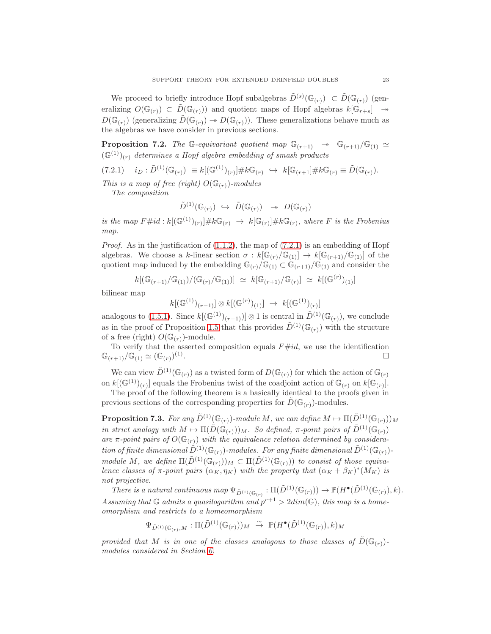We proceed to briefly introduce Hopf subalgebras  $\tilde{D}^{(s)}(\mathbb{G}_{(r)}) \subset \tilde{D}(\mathbb{G}_{(r)})$  (generalizing  $O(\mathbb{G}_{(r)}) \subset \tilde{D}(\mathbb{G}_{(r)})$  and quotient maps of Hopf algebras  $k[\mathbb{G}_{r+s}] \rightarrow$  $D(\mathbb{G}_{(r)})$  (generalizing  $\tilde{D}(\mathbb{G}_{(r)}) \to D(\mathbb{G}_{(r)}).$  These generalizations behave much as the algebras we have consider in previous sections.

**Proposition 7.2.** *The* G-equivariant quotient map  $\mathbb{G}_{(r+1)} \rightarrow \mathbb{G}_{(r+1)}/\mathbb{G}_{(1)} \simeq$  $(\mathbb{G}^{(1)})_{(r)}$  determines a Hopf algebra embedding of smash products

<span id="page-22-0"></span> $(7.2.1)$   $i_D : \tilde{D}^{(1)}(\mathbb{G}_{(r)}) \equiv k[(\mathbb{G}^{(1)})_{(r)}] \# k \mathbb{G}_{(r)} \hookrightarrow k[\mathbb{G}_{(r+1]}] \# k \mathbb{G}_{(r)} \equiv \tilde{D}(\mathbb{G}_{(r)}).$ 

*This is a map of free (right)*  $O(\mathbb{G}_{(r)})$ *-modules The composition*

$$
\tilde{D}^{(1)}({\mathbb G}_{(r)}) \ \hookrightarrow \ \tilde{D}({\mathbb G}_{(r)}) \ \twoheadrightarrow \ D({\mathbb G}_{(r)})
$$

*is the map*  $F \# id : k[(\mathbb{G}^{(1)})(r)] \# k\mathbb{G}_{(r)} \to k[\mathbb{G}_{(r)}] \# k\mathbb{G}_{(r)},$  where F is the Frobenius *map.*

*Proof.* As in the justification of  $(1.1.2)$ , the map of  $(7.2.1)$  is an embedding of Hopf algebras. We choose a k-linear section  $\sigma : k[\mathbb{G}_{(r)}/\mathbb{G}_{(1)}] \to k[\mathbb{G}_{(r+1)}/\mathbb{G}_{(1)}]$  of the quotient map induced by the embedding  $\mathbb{G}_{(r)}/\mathbb{G}_{(1)} \subset \mathbb{G}_{(r+1)}/\mathbb{G}_{(1)}$  and consider the

$$
k[(\mathbb{G}_{(r+1)}/\mathbb{G}_{(1)})/(\mathbb{G}_{(r)}/\mathbb{G}_{(1)})] \simeq k[\mathbb{G}_{(r+1)}/\mathbb{G}_{(r)}] \simeq k[(\mathbb{G}^{(r)})_{(1)}]
$$

bilinear map

$$
k[(\mathbb{G}^{(1)})(r-1)] \otimes k[(\mathbb{G}^{(r)})_{(1)}] \rightarrow k[(\mathbb{G}^{(1)})_{(r)}]
$$

analogous to [\(1.5.1\)](#page-4-2). Since  $k[(\mathbb{G}^{(1)})_{(r-1)})] \otimes 1$  is central in  $\tilde{D}^{(1)}(\mathbb{G}_{(r)})$ , we conclude as in the proof of Proposition [1.5](#page-4-0) that this provides  $\tilde{D}^{(1)}(\mathbb{G}_{(r)})$  with the structure of a free (right)  $O(\mathbb{G}_{(r)})$ -module.

To verify that the asserted composition equals  $F\#id$ , we use the identification  $\mathbb{G}_{(r+1)}/\mathbb{G}_{(1)} \simeq (\mathbb{G}_{(r)})^{(1)}$ .

We can view  $\tilde{D}^{(1)}(\mathbb{G}_{(r)})$  as a twisted form of  $D(\mathbb{G}_{(r)})$  for which the action of  $\mathbb{G}_{(r)}$ on  $k[(\mathbb{G}^{(1)})(r)]$  equals the Frobenius twist of the coadjoint action of  $\mathbb{G}_{(r)}$  on  $k[\mathbb{G}_{(r)}].$ 

The proof of the following theorem is a basically identical to the proofs given in previous sections of the corresponding properties for  $D(\mathbb{G}_{(r)})$ -modules.

<span id="page-22-1"></span>**Proposition 7.3.** *For any*  $\tilde{D}^{(1)}(\mathbb{G}_{(r)})$ *-module* M, we can define  $M \mapsto \Pi(\tilde{D}^{(1)}(\mathbb{G}_{(r)}))_M$ *in strict analogy with*  $M \mapsto \Pi(\tilde{D}(\mathbb{G}_{(r)}))_M$ *. So defined,*  $\pi$ -point pairs of  $\tilde{D}^{(1)}(\mathbb{G}_{(r)})$ are  $\pi$ -point pairs of  $O(\mathbb{G}_{(r)})$  with the equivalence relation determined by considera*tion of finite dimensional*  $\tilde{D}^{(1)}(\mathbb{G}_{(r)})$ *-modules. For any finite dimensional*  $\tilde{D}^{(1)}(\mathbb{G}_{(r)})$ *module* M, we define  $\Pi(\tilde{D}^{(1)}(\mathbb{G}_{(r)}))_M \subset \Pi(\tilde{D}^{(1)}(\mathbb{G}_{(r)}))$  to consist of those equiva*lence classes of*  $\pi$ -point pairs  $(\alpha_K, \eta_K)$  with the property that  $(\alpha_K + \beta_K)^*(M_K)$  is *not projective.*

There is a natural continuous map  $\Psi_{\tilde{D}^{(1)}(\mathbb{G}_{(r)})} : \Pi(\tilde{D}^{(1)}(\mathbb{G}_{(r)})) \to \mathbb{P}(H^{\bullet}(\tilde{D}^{(1)}(\mathbb{G}_{(r)}), k).$ Assuming that  $G$  admits a quasilogarithm and  $p^{r+1} > 2dim(G)$ , this map is a home*omorphism and restricts to a homeomorphism*

$$
\Psi_{\tilde{D}^{(1)}(\mathbb{G}_{(r)},M}:\Pi(\tilde{D}^{(1)}(\mathbb{G}_{(r)}))_M\;\stackrel{\sim}{\to}\;\mathbb{P}(H^\bullet(\tilde{D}^{(1)}(\mathbb{G}_{(r)}),k)_M
$$

*provided that* M *is in one of the classes analogous to those classes of*  $\tilde{D}(\mathbb{G}_{(r)})$ *modules considered in Section [6.](#page-17-1)*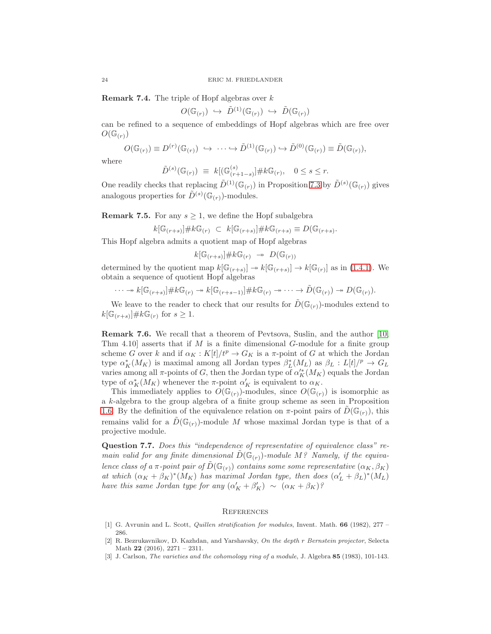Remark 7.4. The triple of Hopf algebras over k

$$
O(\mathbb{G}_{(r)}) \hookrightarrow \tilde{D}^{(1)}(\mathbb{G}_{(r)}) \hookrightarrow \tilde{D}(\mathbb{G}_{(r)})
$$

can be refined to a sequence of embeddings of Hopf algebras which are free over  $O(\mathbb{G}_{(r)})$ 

$$
O(\mathbb{G}_{(r)}) \equiv D^{(r)}(\mathbb{G}_{(r)}) \hookrightarrow \cdots \hookrightarrow \tilde{D}^{(1)}(\mathbb{G}_{(r)}) \hookrightarrow \tilde{D}^{(0)}(\mathbb{G}_{(r)}) \equiv \tilde{D}(\mathbb{G}_{(r)}),
$$

where

$$
\tilde{D}^{(s)}(\mathbb{G}_{(r)}) \equiv k[(\mathbb{G}_{(r+1-s)}^{(s)}] \# k \mathbb{G}_{(r)}, \quad 0 \le s \le r.
$$

One readily checks that replacing  $\tilde{D}^{(1)}(\mathbb{G}_{(r)})$  in Proposition [7.3](#page-22-1) by  $\tilde{D}^{(s)}(\mathbb{G}_{(r)})$  gives analogous properties for  $\tilde{D}^{(s)}(\mathbb{G}_{(r)})$ -modules.

**Remark 7.5.** For any  $s \geq 1$ , we define the Hopf subalgebra

$$
k[\mathbb{G}_{(r+s)}] \# k\mathbb{G}_{(r)} \subset k[\mathbb{G}_{(r+s)}] \# k\mathbb{G}_{(r+s)} \equiv D(\mathbb{G}_{(r+s)}).
$$

This Hopf algebra admits a quotient map of Hopf algebras

$$
k[\mathbb{G}_{(r+s)}]\#k\mathbb{G}_{(r)} \to D(\mathbb{G}_{(r)})
$$

determined by the quotient map  $k[\mathbb{G}_{(r+s)}] \to k[\mathbb{G}_{(r+s)}] \to k[\mathbb{G}_{(r)}]$  as in [\(1.4.1\)](#page-3-2). We obtain a sequence of quotient Hopf algebras

$$
\cdots \twoheadrightarrow k[\mathbb{G}_{(r+s)}] \# k\mathbb{G}_{(r)} \twoheadrightarrow k[\mathbb{G}_{(r+s-1)}] \# k\mathbb{G}_{(r)} \twoheadrightarrow \cdots \twoheadrightarrow \tilde{D}(\mathbb{G}_{(r)}) \twoheadrightarrow D(\mathbb{G}_{(r)}).
$$

We leave to the reader to check that our results for  $\tilde{D}(\mathbb{G}_{(r)})$ -modules extend to  $k[\mathbb{G}_{(r+s)}] \# k \mathbb{G}_{(r)}$  for  $s \geq 1$ .

Remark 7.6. We recall that a theorem of Pevtsova, Suslin, and the author [\[10,](#page-24-17) Thm 4.10] asserts that if  $M$  is a finite dimensional  $G$ -module for a finite group scheme G over k and if  $\alpha_K : K[t]/t^p \to G_K$  is a  $\pi$ -point of G at which the Jordan type  $\alpha_K^*(M_K)$  is maximal among all Jordan types  $\beta_L^*(M_L)$  as  $\beta_L : L[t]/^p \to G_L$ varies among all  $\pi$ -points of G, then the Jordan type of  $\alpha'^{*}_{K}(M_K)$  equals the Jordan type of  $\alpha_K^*(M_K)$  whenever the  $\pi$ -point  $\alpha_K'$  is equivalent to  $\alpha_K$ .

This immediately applies to  $O(\mathbb{G}_{(r)})$ -modules, since  $O(\mathbb{G}_{(r)})$  is isomorphic as a k-algebra to the group algebra of a finite group scheme as seen in Proposition [1.6.](#page-4-1) By the definition of the equivalence relation on  $\pi$ -point pairs of  $D(\mathbb{G}_{(r)})$ , this remains valid for a  $\tilde{D}(\mathbb{G}_{(r)})$ -module M whose maximal Jordan type is that of a projective module.

Question 7.7. *Does this "independence of representative of equivalence class" remain valid for any finite dimensional*  $D(\mathbb{G}_{(r)})$ *-module*  $M$ ? *Namely, if the equivalence class of a*  $\pi$ *-point pair of*  $\tilde{D}(\mathbb{G}_{(r)})$  *contains some some representative*  $(\alpha_K, \beta_K)$ *at which*  $(\alpha_K + \beta_K)^*(M_K)$  *has maximal Jordan type, then does*  $(\alpha'_L + \beta_L)^*(M_L)$ *have this same Jordan type for any*  $(\alpha'_K + \beta'_K) \sim (\alpha_K + \beta_K)$ ?

#### **REFERENCES**

- <span id="page-23-1"></span>[1] G. Avrunin and L. Scott, *Quillen stratification for modules*, Invent. Math. 66 (1982), 277 – 286.
- <span id="page-23-2"></span>[2] R. Bezrukavnikov, D. Kazhdan, and Yarshavsky, *On the depth* r *Bernstein projector*, Selecta Math 22 (2016), 2271 – 2311.
- <span id="page-23-0"></span>[3] J. Carlson, *The varieties and the cohomology ring of a module*, J. Algebra 85 (1983), 101-143.